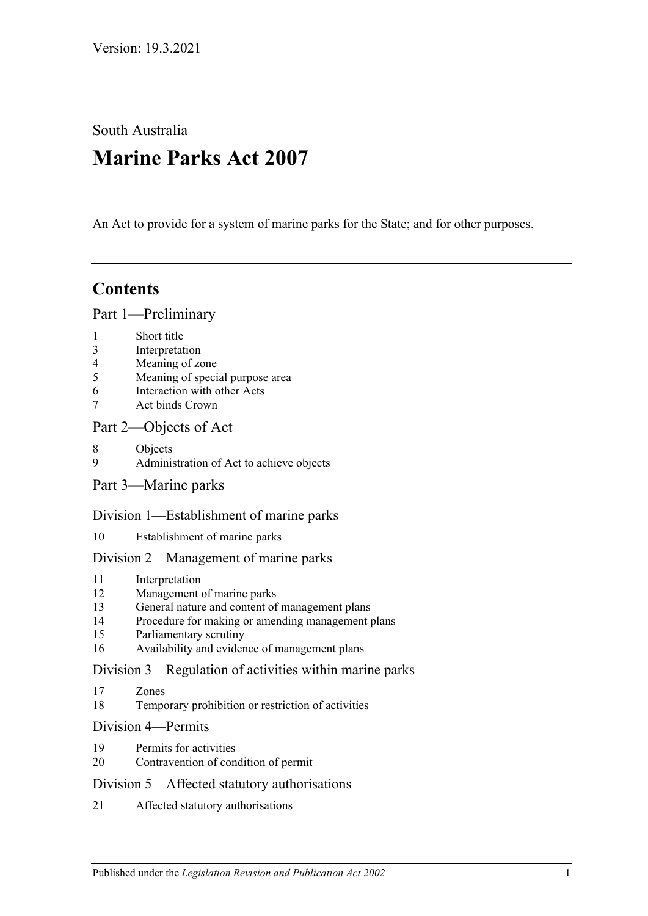South Australia

# **Marine Parks Act 2007**

An Act to provide for a system of marine parks for the State; and for other purposes.

# **Contents**

### [Part 1—Preliminary](#page-2-0)

- 1 [Short title](#page-2-1)
- 3 [Interpretation](#page-2-2)
- 4 [Meaning of zone](#page-4-0)
- 5 [Meaning of special purpose area](#page-5-0)
- 6 [Interaction with other Acts](#page-5-1)
- 7 [Act binds Crown](#page-5-2)

# [Part 2—Objects of Act](#page-6-0)

- 8 [Objects](#page-6-1)
- 9 [Administration of Act to achieve objects](#page-7-0)
- [Part 3—Marine parks](#page-7-1)

# [Division 1—Establishment of marine parks](#page-7-2)

10 [Establishment of marine parks](#page-7-3)

# [Division 2—Management of marine parks](#page-9-0)

- 11 [Interpretation](#page-9-1)
- 12 [Management of marine parks](#page-9-2)
- 13 [General nature and content of management plans](#page-9-3)
- 14 [Procedure for making or amending management plans](#page-10-0)
- 15 [Parliamentary scrutiny](#page-12-0)
- 16 [Availability and evidence of management plans](#page-12-1)

# [Division 3—Regulation of activities within marine parks](#page-12-2)

- 17 [Zones](#page-12-3)
- 18 [Temporary prohibition or restriction of activities](#page-12-4)

# [Division 4—Permits](#page-13-0)

- 19 [Permits for activities](#page-13-1)
- 20 [Contravention of condition of permit](#page-14-0)

# [Division 5—Affected statutory authorisations](#page-14-1)

21 [Affected statutory authorisations](#page-14-2)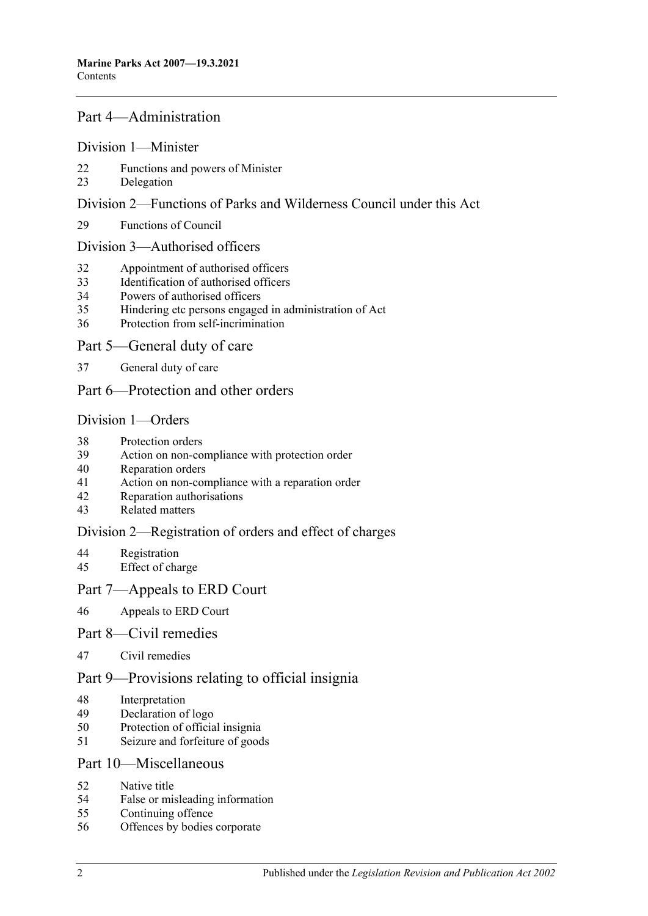# [Part 4—Administration](#page-15-0)

#### [Division 1—Minister](#page-15-1)

- [Functions and powers of Minister](#page-15-2)
- [Delegation](#page-16-0)

### [Division 2—Functions of Parks and Wilderness Council under this Act](#page-16-1)

[Functions of Council](#page-16-2)

### [Division 3—Authorised officers](#page-17-0)

- Appointment [of authorised officers](#page-17-1)
- [Identification of authorised officers](#page-17-2)
- [Powers of authorised officers](#page-18-0)
- [Hindering etc persons engaged in administration of Act](#page-19-0)
- [Protection from self-incrimination](#page-20-0)

# [Part 5—General duty of care](#page-20-1)

[General duty of care](#page-20-2)

# [Part 6—Protection and other orders](#page-21-0)

### [Division 1—Orders](#page-21-1)

- [Protection orders](#page-21-2)
- [Action on non-compliance with protection order](#page-22-0)
- [Reparation orders](#page-22-1)
- [Action on non-compliance with a reparation order](#page-23-0)
- [Reparation authorisations](#page-24-0)
- [Related matters](#page-25-0)

# [Division 2—Registration of orders and effect of charges](#page-25-1)

- [Registration](#page-25-2)<br>45 Effect of cha
- [Effect of charge](#page-26-0)

# [Part 7—Appeals to ERD Court](#page-26-1)

[Appeals to ERD Court](#page-26-2)

# [Part 8—Civil remedies](#page-28-0)

[Civil remedies](#page-28-1)

# [Part 9—Provisions relating to official insignia](#page-31-0)

- [Interpretation](#page-31-1)
- [Declaration of logo](#page-31-2)
- [Protection of official insignia](#page-31-3)
- [Seizure and forfeiture of goods](#page-32-0)

# [Part 10—Miscellaneous](#page-33-0)

- [Native title](#page-33-1)
- [False or misleading information](#page-33-2)
- [Continuing offence](#page-33-3)
- [Offences by bodies corporate](#page-33-4)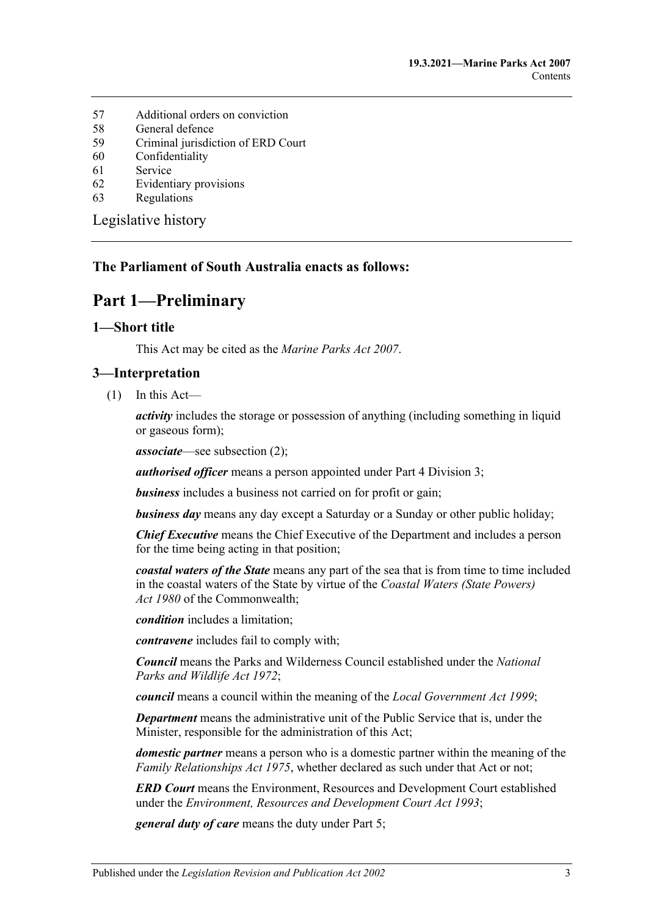- 57 [Additional orders on conviction](#page-34-0)
- 58 [General defence](#page-34-1)
- 59 [Criminal jurisdiction of ERD Court](#page-34-2)
- 60 [Confidentiality](#page-34-3)
- 61 [Service](#page-35-0)
- 62 [Evidentiary provisions](#page-35-1)
- 63 [Regulations](#page-36-0)

[Legislative history](#page-37-0)

#### <span id="page-2-0"></span>**The Parliament of South Australia enacts as follows:**

# **Part 1—Preliminary**

#### <span id="page-2-1"></span>**1—Short title**

This Act may be cited as the *Marine Parks Act 2007*.

### <span id="page-2-2"></span>**3—Interpretation**

(1) In this Act—

*activity* includes the storage or possession of anything (including something in liquid or gaseous form);

*associate*—see [subsection](#page-3-0) (2);

*authorised officer* means a person appointed under [Part 4 Division 3;](#page-17-0)

*business* includes a business not carried on for profit or gain;

*business day* means any day except a Saturday or a Sunday or other public holiday;

*Chief Executive* means the Chief Executive of the Department and includes a person for the time being acting in that position;

*coastal waters of the State* means any part of the sea that is from time to time included in the coastal waters of the State by virtue of the *Coastal Waters (State Powers) Act 1980* of the Commonwealth;

*condition* includes a limitation;

*contravene* includes fail to comply with;

*Council* means the Parks and Wilderness Council established under the *[National](http://www.legislation.sa.gov.au/index.aspx?action=legref&type=act&legtitle=National%20Parks%20and%20Wildlife%20Act%201972)  [Parks and Wildlife Act](http://www.legislation.sa.gov.au/index.aspx?action=legref&type=act&legtitle=National%20Parks%20and%20Wildlife%20Act%201972) 1972*;

*council* means a council within the meaning of the *[Local Government Act](http://www.legislation.sa.gov.au/index.aspx?action=legref&type=act&legtitle=Local%20Government%20Act%201999) 1999*;

*Department* means the administrative unit of the Public Service that is, under the Minister, responsible for the administration of this Act;

*domestic partner* means a person who is a domestic partner within the meaning of the *[Family Relationships Act](http://www.legislation.sa.gov.au/index.aspx?action=legref&type=act&legtitle=Family%20Relationships%20Act%201975) 1975*, whether declared as such under that Act or not;

*ERD Court* means the Environment, Resources and Development Court established under the *[Environment, Resources and Development Court Act](http://www.legislation.sa.gov.au/index.aspx?action=legref&type=act&legtitle=Environment%20Resources%20and%20Development%20Court%20Act%201993) 1993*;

*general duty of care* means the duty under [Part 5;](#page-20-1)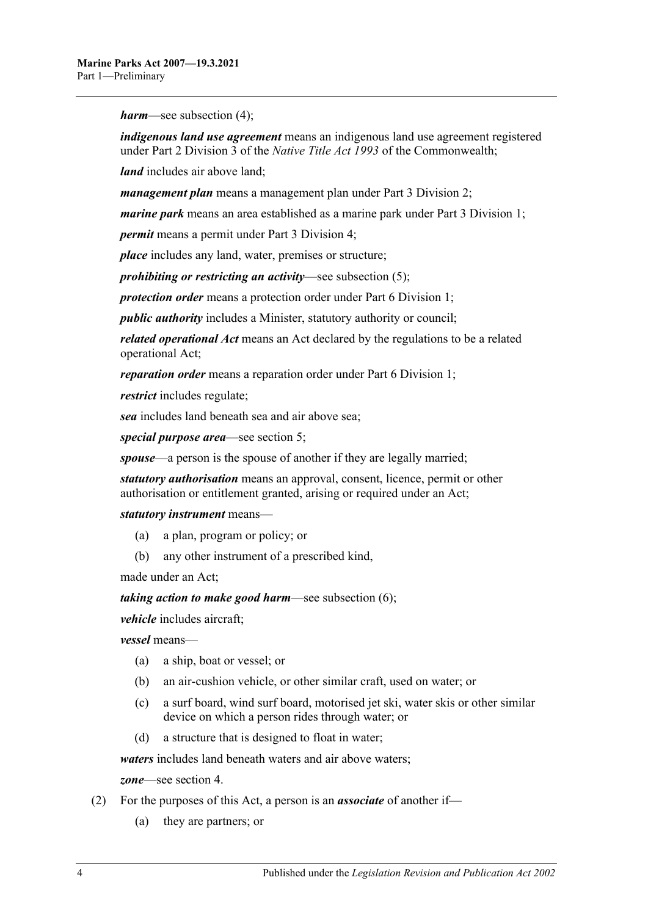*harm*—see [subsection](#page-4-1) (4);

*indigenous land use agreement* means an indigenous land use agreement registered under Part 2 Division 3 of the *Native Title Act 1993* of the Commonwealth;

*land* includes air above land;

*management plan* means a management plan under [Part 3 Division 2;](#page-9-0)

*marine park* means an area established as a marine park under [Part 3 Division 1;](#page-7-2)

*permit* means a permit under [Part 3 Division 4;](#page-13-0)

*place* includes any land, water, premises or structure;

*prohibiting or restricting an activity*—see [subsection](#page-4-2) (5);

*protection order* means a protection order under [Part 6 Division 1;](#page-21-1)

*public authority* includes a Minister, statutory authority or council;

*related operational Act* means an Act declared by the regulations to be a related operational Act;

*reparation order* means a reparation order under [Part 6 Division 1;](#page-21-1)

*restrict* includes regulate;

*sea* includes land beneath sea and air above sea;

*special purpose area*—see [section](#page-5-0) 5;

*spouse*—a person is the spouse of another if they are legally married;

*statutory authorisation* means an approval, consent, licence, permit or other authorisation or entitlement granted, arising or required under an Act;

*statutory instrument* means—

- (a) a plan, program or policy; or
- (b) any other instrument of a prescribed kind,

made under an Act;

*taking action to make good harm*—see [subsection](#page-4-3) (6);

*vehicle* includes aircraft;

*vessel* means—

- (a) a ship, boat or vessel; or
- (b) an air-cushion vehicle, or other similar craft, used on water; or
- (c) a surf board, wind surf board, motorised jet ski, water skis or other similar device on which a person rides through water; or
- (d) a structure that is designed to float in water;

*waters* includes land beneath waters and air above waters;

*zone*—see [section](#page-4-0) 4.

- <span id="page-3-0"></span>(2) For the purposes of this Act, a person is an *associate* of another if—
	- (a) they are partners; or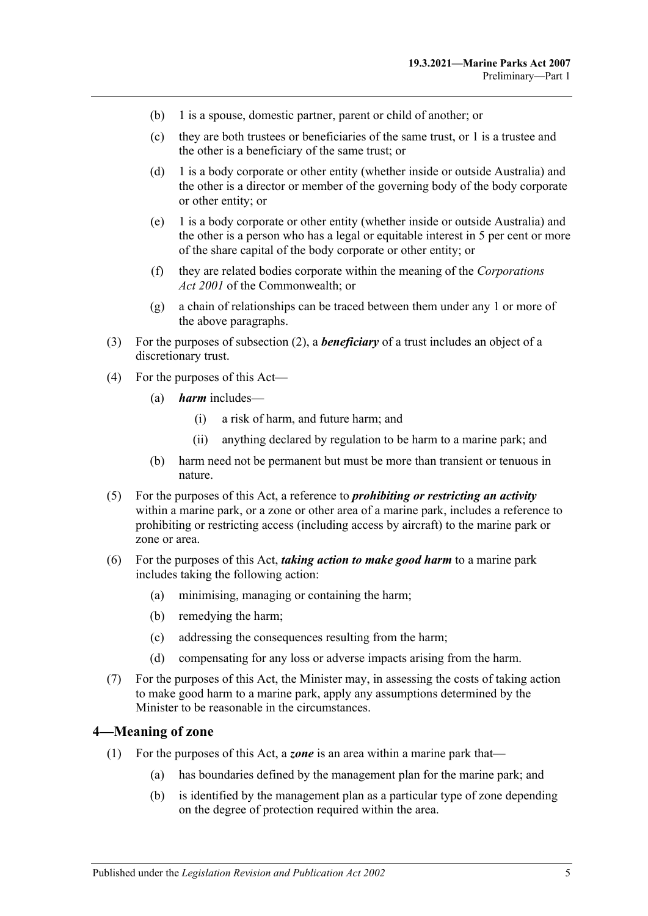- (b) 1 is a spouse, domestic partner, parent or child of another; or
- (c) they are both trustees or beneficiaries of the same trust, or 1 is a trustee and the other is a beneficiary of the same trust; or
- (d) 1 is a body corporate or other entity (whether inside or outside Australia) and the other is a director or member of the governing body of the body corporate or other entity; or
- (e) 1 is a body corporate or other entity (whether inside or outside Australia) and the other is a person who has a legal or equitable interest in 5 per cent or more of the share capital of the body corporate or other entity; or
- (f) they are related bodies corporate within the meaning of the *Corporations Act 2001* of the Commonwealth; or
- (g) a chain of relationships can be traced between them under any 1 or more of the above paragraphs.
- (3) For the purposes of [subsection](#page-3-0) (2), a *beneficiary* of a trust includes an object of a discretionary trust.
- <span id="page-4-1"></span>(4) For the purposes of this Act—
	- (a) *harm* includes—
		- (i) a risk of harm, and future harm; and
		- (ii) anything declared by regulation to be harm to a marine park; and
	- (b) harm need not be permanent but must be more than transient or tenuous in nature.
- <span id="page-4-2"></span>(5) For the purposes of this Act, a reference to *prohibiting or restricting an activity* within a marine park, or a zone or other area of a marine park, includes a reference to prohibiting or restricting access (including access by aircraft) to the marine park or zone or area.
- <span id="page-4-3"></span>(6) For the purposes of this Act, *taking action to make good harm* to a marine park includes taking the following action:
	- (a) minimising, managing or containing the harm;
	- (b) remedying the harm;
	- (c) addressing the consequences resulting from the harm;
	- (d) compensating for any loss or adverse impacts arising from the harm.
- (7) For the purposes of this Act, the Minister may, in assessing the costs of taking action to make good harm to a marine park, apply any assumptions determined by the Minister to be reasonable in the circumstances.

#### <span id="page-4-0"></span>**4—Meaning of zone**

- (1) For the purposes of this Act, a *zone* is an area within a marine park that—
	- (a) has boundaries defined by the management plan for the marine park; and
	- (b) is identified by the management plan as a particular type of zone depending on the degree of protection required within the area.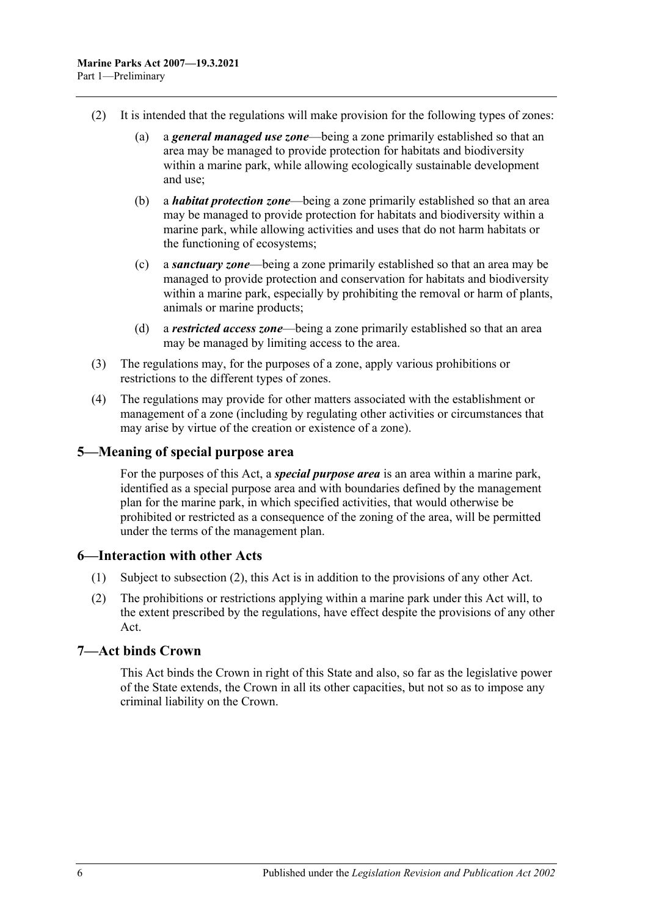- (2) It is intended that the regulations will make provision for the following types of zones:
	- (a) a *general managed use zone*—being a zone primarily established so that an area may be managed to provide protection for habitats and biodiversity within a marine park, while allowing ecologically sustainable development and use;
	- (b) a *habitat protection zone*—being a zone primarily established so that an area may be managed to provide protection for habitats and biodiversity within a marine park, while allowing activities and uses that do not harm habitats or the functioning of ecosystems;
	- (c) a *sanctuary zone*—being a zone primarily established so that an area may be managed to provide protection and conservation for habitats and biodiversity within a marine park, especially by prohibiting the removal or harm of plants, animals or marine products;
	- (d) a *restricted access zone*—being a zone primarily established so that an area may be managed by limiting access to the area.
- (3) The regulations may, for the purposes of a zone, apply various prohibitions or restrictions to the different types of zones.
- (4) The regulations may provide for other matters associated with the establishment or management of a zone (including by regulating other activities or circumstances that may arise by virtue of the creation or existence of a zone).

# <span id="page-5-0"></span>**5—Meaning of special purpose area**

For the purposes of this Act, a *special purpose area* is an area within a marine park, identified as a special purpose area and with boundaries defined by the management plan for the marine park, in which specified activities, that would otherwise be prohibited or restricted as a consequence of the zoning of the area, will be permitted under the terms of the management plan.

# <span id="page-5-1"></span>**6—Interaction with other Acts**

- (1) Subject to [subsection](#page-5-3) (2), this Act is in addition to the provisions of any other Act.
- <span id="page-5-3"></span>(2) The prohibitions or restrictions applying within a marine park under this Act will, to the extent prescribed by the regulations, have effect despite the provisions of any other Act.

# <span id="page-5-2"></span>**7—Act binds Crown**

This Act binds the Crown in right of this State and also, so far as the legislative power of the State extends, the Crown in all its other capacities, but not so as to impose any criminal liability on the Crown.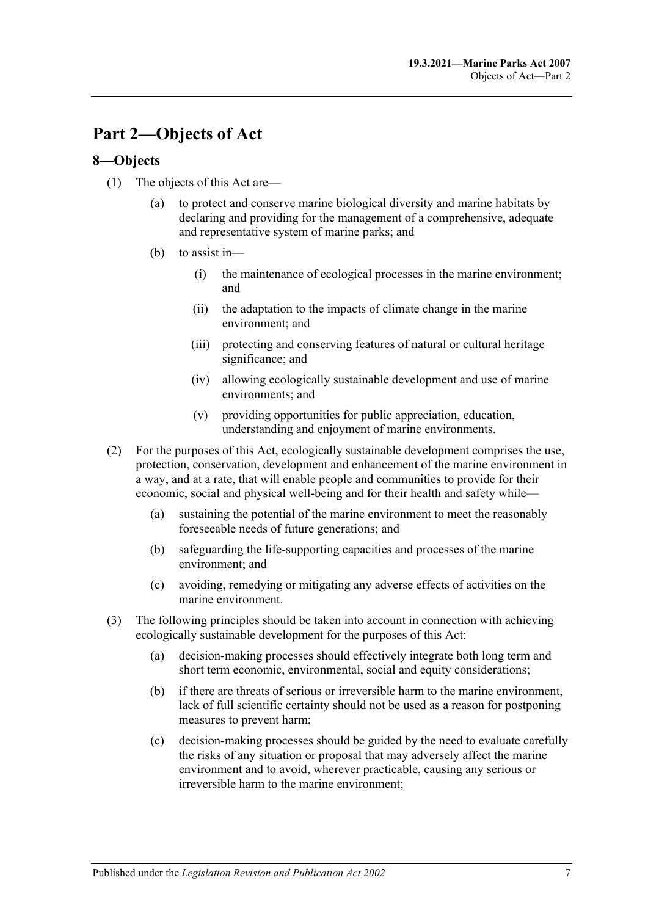# <span id="page-6-0"></span>**Part 2—Objects of Act**

# <span id="page-6-1"></span>**8—Objects**

- (1) The objects of this Act are—
	- (a) to protect and conserve marine biological diversity and marine habitats by declaring and providing for the management of a comprehensive, adequate and representative system of marine parks; and
	- (b) to assist in—
		- (i) the maintenance of ecological processes in the marine environment; and
		- (ii) the adaptation to the impacts of climate change in the marine environment; and
		- (iii) protecting and conserving features of natural or cultural heritage significance; and
		- (iv) allowing ecologically sustainable development and use of marine environments; and
		- (v) providing opportunities for public appreciation, education, understanding and enjoyment of marine environments.
- (2) For the purposes of this Act, ecologically sustainable development comprises the use, protection, conservation, development and enhancement of the marine environment in a way, and at a rate, that will enable people and communities to provide for their economic, social and physical well-being and for their health and safety while—
	- (a) sustaining the potential of the marine environment to meet the reasonably foreseeable needs of future generations; and
	- (b) safeguarding the life-supporting capacities and processes of the marine environment; and
	- (c) avoiding, remedying or mitigating any adverse effects of activities on the marine environment.
- (3) The following principles should be taken into account in connection with achieving ecologically sustainable development for the purposes of this Act:
	- (a) decision-making processes should effectively integrate both long term and short term economic, environmental, social and equity considerations;
	- (b) if there are threats of serious or irreversible harm to the marine environment, lack of full scientific certainty should not be used as a reason for postponing measures to prevent harm;
	- (c) decision-making processes should be guided by the need to evaluate carefully the risks of any situation or proposal that may adversely affect the marine environment and to avoid, wherever practicable, causing any serious or irreversible harm to the marine environment;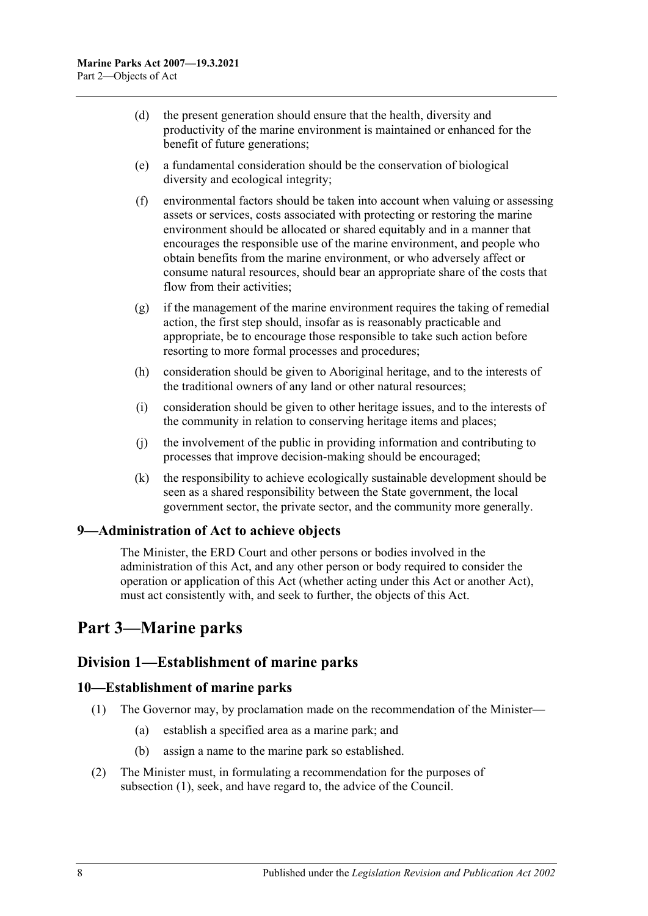- (d) the present generation should ensure that the health, diversity and productivity of the marine environment is maintained or enhanced for the benefit of future generations;
- (e) a fundamental consideration should be the conservation of biological diversity and ecological integrity;
- (f) environmental factors should be taken into account when valuing or assessing assets or services, costs associated with protecting or restoring the marine environment should be allocated or shared equitably and in a manner that encourages the responsible use of the marine environment, and people who obtain benefits from the marine environment, or who adversely affect or consume natural resources, should bear an appropriate share of the costs that flow from their activities;
- (g) if the management of the marine environment requires the taking of remedial action, the first step should, insofar as is reasonably practicable and appropriate, be to encourage those responsible to take such action before resorting to more formal processes and procedures;
- (h) consideration should be given to Aboriginal heritage, and to the interests of the traditional owners of any land or other natural resources;
- (i) consideration should be given to other heritage issues, and to the interests of the community in relation to conserving heritage items and places;
- (j) the involvement of the public in providing information and contributing to processes that improve decision-making should be encouraged;
- (k) the responsibility to achieve ecologically sustainable development should be seen as a shared responsibility between the State government, the local government sector, the private sector, and the community more generally.

# <span id="page-7-0"></span>**9—Administration of Act to achieve objects**

The Minister, the ERD Court and other persons or bodies involved in the administration of this Act, and any other person or body required to consider the operation or application of this Act (whether acting under this Act or another Act), must act consistently with, and seek to further, the objects of this Act.

# <span id="page-7-1"></span>**Part 3—Marine parks**

# <span id="page-7-2"></span>**Division 1—Establishment of marine parks**

# <span id="page-7-4"></span><span id="page-7-3"></span>**10—Establishment of marine parks**

- (1) The Governor may, by proclamation made on the recommendation of the Minister—
	- (a) establish a specified area as a marine park; and
	- (b) assign a name to the marine park so established.
- (2) The Minister must, in formulating a recommendation for the purposes of [subsection](#page-7-4) (1), seek, and have regard to, the advice of the Council.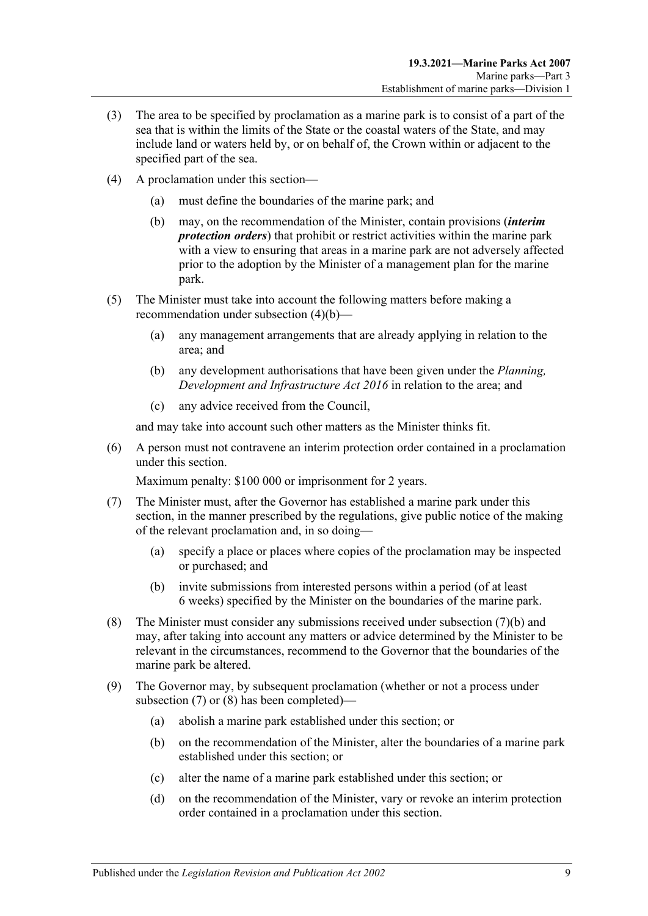- (3) The area to be specified by proclamation as a marine park is to consist of a part of the sea that is within the limits of the State or the coastal waters of the State, and may include land or waters held by, or on behalf of, the Crown within or adjacent to the specified part of the sea.
- <span id="page-8-0"></span>(4) A proclamation under this section—
	- (a) must define the boundaries of the marine park; and
	- (b) may, on the recommendation of the Minister, contain provisions (*interim protection orders*) that prohibit or restrict activities within the marine park with a view to ensuring that areas in a marine park are not adversely affected prior to the adoption by the Minister of a management plan for the marine park.
- (5) The Minister must take into account the following matters before making a recommendation under [subsection](#page-8-0) (4)(b)—
	- (a) any management arrangements that are already applying in relation to the area; and
	- (b) any development authorisations that have been given under the *[Planning,](http://www.legislation.sa.gov.au/index.aspx?action=legref&type=act&legtitle=Planning%20Development%20and%20Infrastructure%20Act%202016)  [Development and Infrastructure Act](http://www.legislation.sa.gov.au/index.aspx?action=legref&type=act&legtitle=Planning%20Development%20and%20Infrastructure%20Act%202016) 2016* in relation to the area; and
	- (c) any advice received from the Council,

and may take into account such other matters as the Minister thinks fit.

(6) A person must not contravene an interim protection order contained in a proclamation under this section.

Maximum penalty: \$100 000 or imprisonment for 2 years.

- <span id="page-8-2"></span>(7) The Minister must, after the Governor has established a marine park under this section, in the manner prescribed by the regulations, give public notice of the making of the relevant proclamation and, in so doing—
	- (a) specify a place or places where copies of the proclamation may be inspected or purchased; and
	- (b) invite submissions from interested persons within a period (of at least 6 weeks) specified by the Minister on the boundaries of the marine park.
- <span id="page-8-3"></span><span id="page-8-1"></span>(8) The Minister must consider any submissions received under [subsection](#page-8-1) (7)(b) and may, after taking into account any matters or advice determined by the Minister to be relevant in the circumstances, recommend to the Governor that the boundaries of the marine park be altered.
- <span id="page-8-7"></span><span id="page-8-6"></span><span id="page-8-5"></span><span id="page-8-4"></span>(9) The Governor may, by subsequent proclamation (whether or not a process under [subsection](#page-8-2) (7) or [\(8\)](#page-8-3) has been completed)—
	- (a) abolish a marine park established under this section; or
	- (b) on the recommendation of the Minister, alter the boundaries of a marine park established under this section; or
	- (c) alter the name of a marine park established under this section; or
	- (d) on the recommendation of the Minister, vary or revoke an interim protection order contained in a proclamation under this section.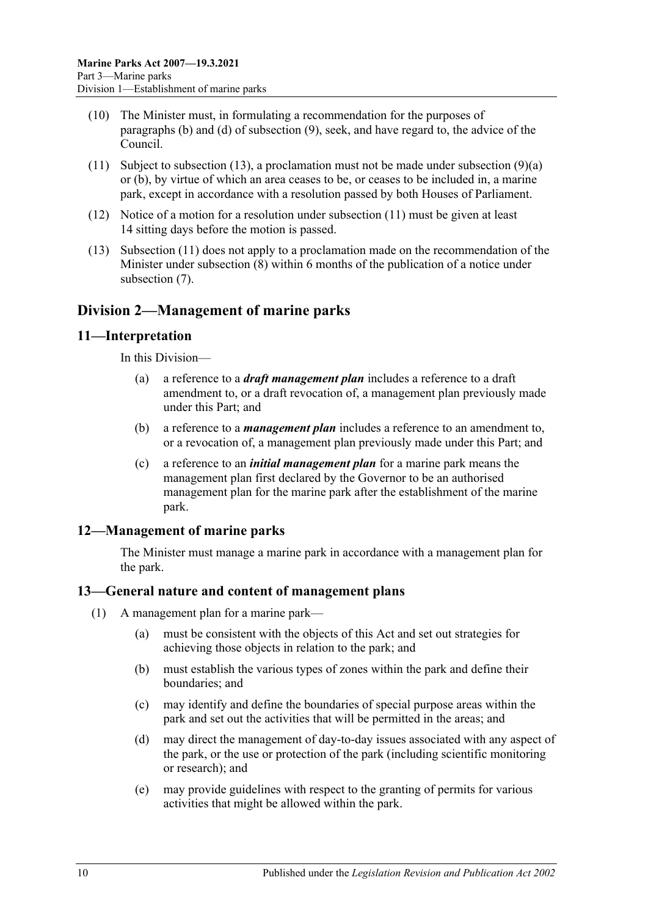- (10) The Minister must, in formulating a recommendation for the purposes of [paragraphs](#page-8-4) (b) and [\(d\)](#page-8-5) of [subsection](#page-8-6) (9), seek, and have regard to, the advice of the Council.
- <span id="page-9-5"></span>(11) Subject to [subsection](#page-8-7) (13), a proclamation must not be made under subsection  $(9)(a)$ or [\(b\),](#page-8-4) by virtue of which an area ceases to be, or ceases to be included in, a marine park, except in accordance with a resolution passed by both Houses of Parliament.
- (12) Notice of a motion for a resolution under [subsection](#page-9-5) (11) must be given at least 14 sitting days before the motion is passed.
- <span id="page-9-4"></span>(13) [Subsection](#page-9-5) (11) does not apply to a proclamation made on the recommendation of the Minister under [subsection](#page-8-3) (8) within 6 months of the publication of a notice under [subsection](#page-8-2) (7).

# <span id="page-9-0"></span>**Division 2—Management of marine parks**

# <span id="page-9-1"></span>**11—Interpretation**

In this Division—

- (a) a reference to a *draft management plan* includes a reference to a draft amendment to, or a draft revocation of, a management plan previously made under this Part; and
- (b) a reference to a *management plan* includes a reference to an amendment to, or a revocation of, a management plan previously made under this Part; and
- (c) a reference to an *initial management plan* for a marine park means the management plan first declared by the Governor to be an authorised management plan for the marine park after the establishment of the marine park.

# <span id="page-9-2"></span>**12—Management of marine parks**

The Minister must manage a marine park in accordance with a management plan for the park.

# <span id="page-9-3"></span>**13—General nature and content of management plans**

- (1) A management plan for a marine park—
	- (a) must be consistent with the objects of this Act and set out strategies for achieving those objects in relation to the park; and
	- (b) must establish the various types of zones within the park and define their boundaries; and
	- (c) may identify and define the boundaries of special purpose areas within the park and set out the activities that will be permitted in the areas; and
	- (d) may direct the management of day-to-day issues associated with any aspect of the park, or the use or protection of the park (including scientific monitoring or research); and
	- (e) may provide guidelines with respect to the granting of permits for various activities that might be allowed within the park.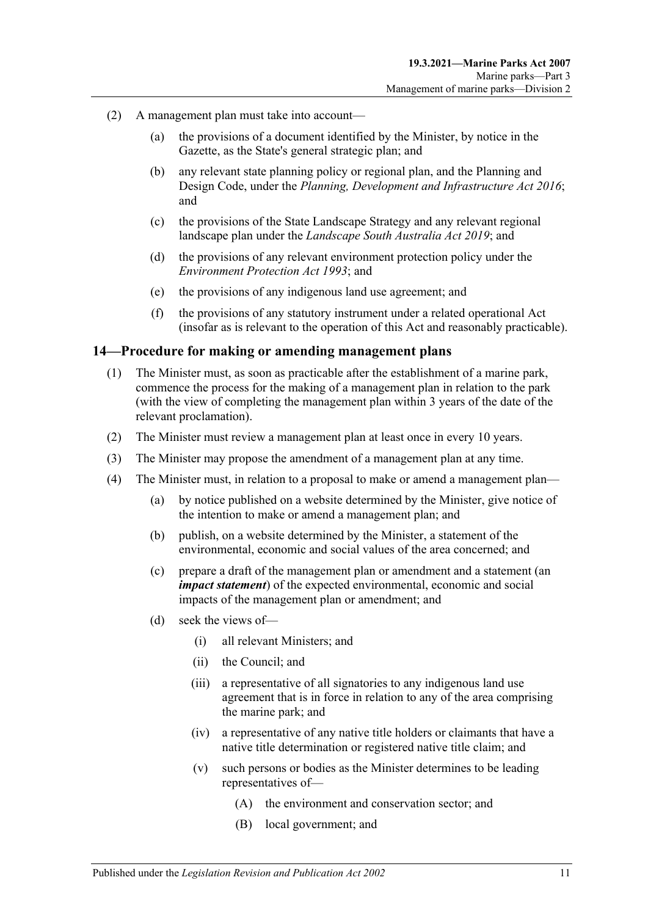- (2) A management plan must take into account—
	- (a) the provisions of a document identified by the Minister, by notice in the Gazette, as the State's general strategic plan; and
	- (b) any relevant state planning policy or regional plan, and the Planning and Design Code, under the *[Planning, Development and Infrastructure Act](http://www.legislation.sa.gov.au/index.aspx?action=legref&type=act&legtitle=Planning%20Development%20and%20Infrastructure%20Act%202016) 2016*; and
	- (c) the provisions of the State Landscape Strategy and any relevant regional landscape plan under the *[Landscape South Australia Act](http://www.legislation.sa.gov.au/index.aspx?action=legref&type=act&legtitle=Landscape%20South%20Australia%20Act%202019) 2019*; and
	- (d) the provisions of any relevant environment protection policy under the *[Environment Protection Act](http://www.legislation.sa.gov.au/index.aspx?action=legref&type=act&legtitle=Environment%20Protection%20Act%201993) 1993*; and
	- (e) the provisions of any indigenous land use agreement; and
	- (f) the provisions of any statutory instrument under a related operational Act (insofar as is relevant to the operation of this Act and reasonably practicable).

### <span id="page-10-0"></span>**14—Procedure for making or amending management plans**

- (1) The Minister must, as soon as practicable after the establishment of a marine park, commence the process for the making of a management plan in relation to the park (with the view of completing the management plan within 3 years of the date of the relevant proclamation).
- (2) The Minister must review a management plan at least once in every 10 years.
- (3) The Minister may propose the amendment of a management plan at any time.
- (4) The Minister must, in relation to a proposal to make or amend a management plan—
	- (a) by notice published on a website determined by the Minister, give notice of the intention to make or amend a management plan; and
	- (b) publish, on a website determined by the Minister, a statement of the environmental, economic and social values of the area concerned; and
	- (c) prepare a draft of the management plan or amendment and a statement (an *impact statement*) of the expected environmental, economic and social impacts of the management plan or amendment; and
	- (d) seek the views of—
		- (i) all relevant Ministers; and
		- (ii) the Council; and
		- (iii) a representative of all signatories to any indigenous land use agreement that is in force in relation to any of the area comprising the marine park; and
		- (iv) a representative of any native title holders or claimants that have a native title determination or registered native title claim; and
		- (v) such persons or bodies as the Minister determines to be leading representatives of—
			- (A) the environment and conservation sector; and
			- (B) local government; and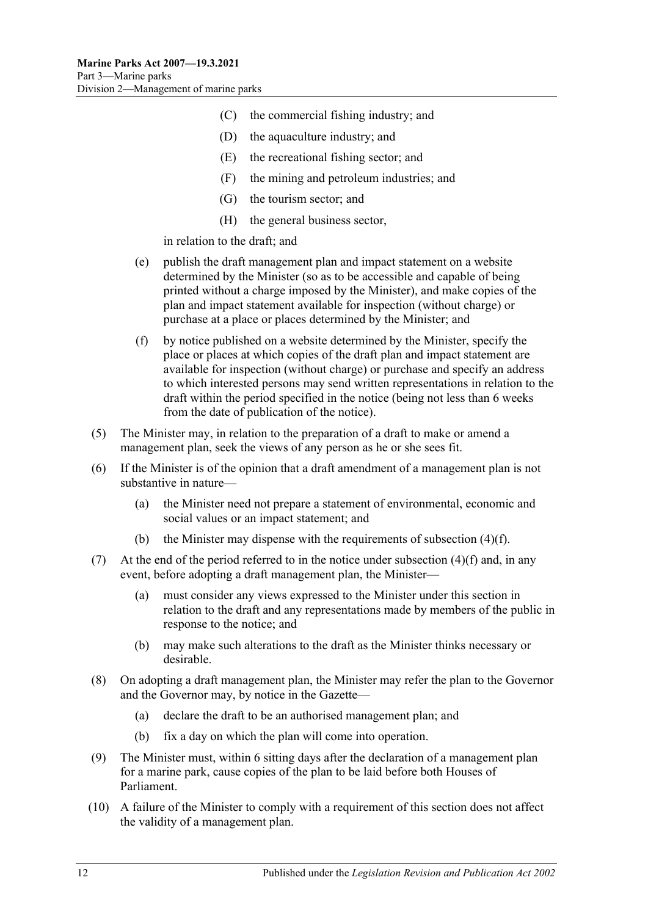- (C) the commercial fishing industry; and
- (D) the aquaculture industry; and
- (E) the recreational fishing sector; and
- (F) the mining and petroleum industries; and
- (G) the tourism sector; and
- (H) the general business sector,

in relation to the draft; and

- (e) publish the draft management plan and impact statement on a website determined by the Minister (so as to be accessible and capable of being printed without a charge imposed by the Minister), and make copies of the plan and impact statement available for inspection (without charge) or purchase at a place or places determined by the Minister; and
- <span id="page-11-0"></span>(f) by notice published on a website determined by the Minister, specify the place or places at which copies of the draft plan and impact statement are available for inspection (without charge) or purchase and specify an address to which interested persons may send written representations in relation to the draft within the period specified in the notice (being not less than 6 weeks from the date of publication of the notice).
- (5) The Minister may, in relation to the preparation of a draft to make or amend a management plan, seek the views of any person as he or she sees fit.
- (6) If the Minister is of the opinion that a draft amendment of a management plan is not substantive in nature—
	- (a) the Minister need not prepare a statement of environmental, economic and social values or an impact statement; and
	- (b) the Minister may dispense with the requirements of [subsection](#page-11-0)  $(4)(f)$ .
- (7) At the end of the period referred to in the notice under [subsection](#page-11-0)  $(4)(f)$  and, in any event, before adopting a draft management plan, the Minister—
	- (a) must consider any views expressed to the Minister under this section in relation to the draft and any representations made by members of the public in response to the notice; and
	- (b) may make such alterations to the draft as the Minister thinks necessary or desirable.
- (8) On adopting a draft management plan, the Minister may refer the plan to the Governor and the Governor may, by notice in the Gazette—
	- (a) declare the draft to be an authorised management plan; and
	- (b) fix a day on which the plan will come into operation.
- (9) The Minister must, within 6 sitting days after the declaration of a management plan for a marine park, cause copies of the plan to be laid before both Houses of Parliament.
- (10) A failure of the Minister to comply with a requirement of this section does not affect the validity of a management plan.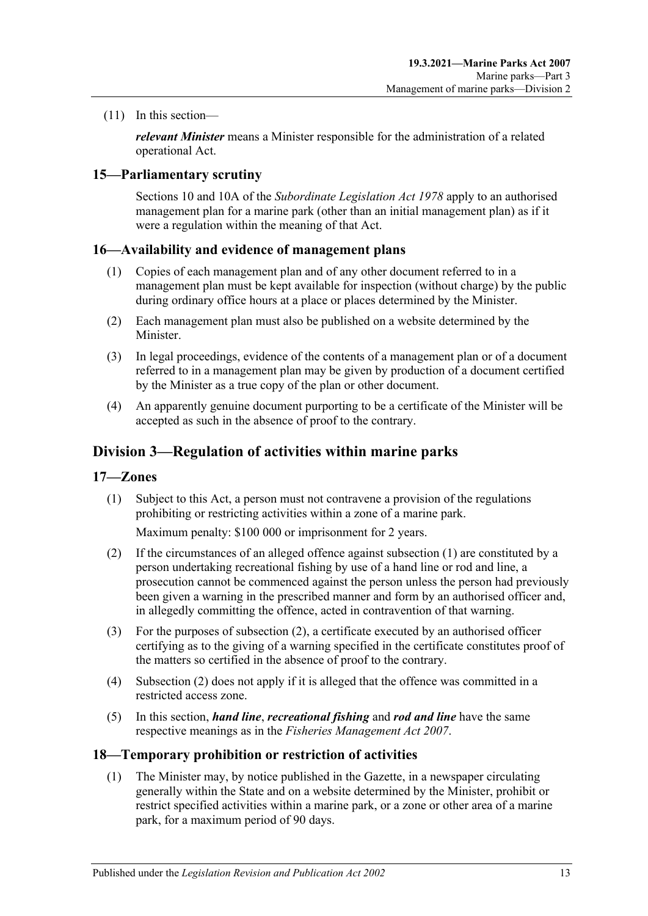(11) In this section—

*relevant Minister* means a Minister responsible for the administration of a related operational Act.

# <span id="page-12-0"></span>**15—Parliamentary scrutiny**

Sections 10 and 10A of the *[Subordinate Legislation Act](http://www.legislation.sa.gov.au/index.aspx?action=legref&type=act&legtitle=Subordinate%20Legislation%20Act%201978) 1978* apply to an authorised management plan for a marine park (other than an initial management plan) as if it were a regulation within the meaning of that Act.

# <span id="page-12-1"></span>**16—Availability and evidence of management plans**

- (1) Copies of each management plan and of any other document referred to in a management plan must be kept available for inspection (without charge) by the public during ordinary office hours at a place or places determined by the Minister.
- (2) Each management plan must also be published on a website determined by the Minister.
- (3) In legal proceedings, evidence of the contents of a management plan or of a document referred to in a management plan may be given by production of a document certified by the Minister as a true copy of the plan or other document.
- (4) An apparently genuine document purporting to be a certificate of the Minister will be accepted as such in the absence of proof to the contrary.

# <span id="page-12-2"></span>**Division 3—Regulation of activities within marine parks**

#### <span id="page-12-5"></span><span id="page-12-3"></span>**17—Zones**

(1) Subject to this Act, a person must not contravene a provision of the regulations prohibiting or restricting activities within a zone of a marine park.

Maximum penalty: \$100 000 or imprisonment for 2 years.

- <span id="page-12-6"></span>(2) If the circumstances of an alleged offence against [subsection](#page-12-5) (1) are constituted by a person undertaking recreational fishing by use of a hand line or rod and line, a prosecution cannot be commenced against the person unless the person had previously been given a warning in the prescribed manner and form by an authorised officer and, in allegedly committing the offence, acted in contravention of that warning.
- (3) For the purposes of [subsection](#page-12-6) (2), a certificate executed by an authorised officer certifying as to the giving of a warning specified in the certificate constitutes proof of the matters so certified in the absence of proof to the contrary.
- (4) [Subsection](#page-12-6) (2) does not apply if it is alleged that the offence was committed in a restricted access zone.
- (5) In this section, *hand line*, *recreational fishing* and *rod and line* have the same respective meanings as in the *[Fisheries Management Act](http://www.legislation.sa.gov.au/index.aspx?action=legref&type=act&legtitle=Fisheries%20Management%20Act%202007) 2007*.

# <span id="page-12-7"></span><span id="page-12-4"></span>**18—Temporary prohibition or restriction of activities**

(1) The Minister may, by notice published in the Gazette, in a newspaper circulating generally within the State and on a website determined by the Minister, prohibit or restrict specified activities within a marine park, or a zone or other area of a marine park, for a maximum period of 90 days.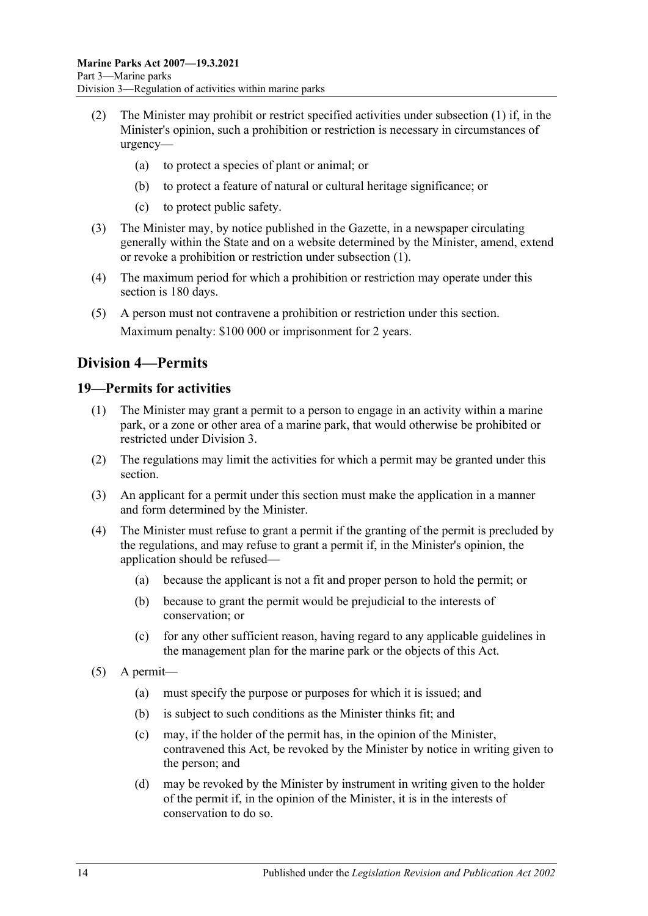- (2) The Minister may prohibit or restrict specified activities under [subsection](#page-12-7) (1) if, in the Minister's opinion, such a prohibition or restriction is necessary in circumstances of urgency—
	- (a) to protect a species of plant or animal; or
	- (b) to protect a feature of natural or cultural heritage significance; or
	- (c) to protect public safety.
- (3) The Minister may, by notice published in the Gazette, in a newspaper circulating generally within the State and on a website determined by the Minister, amend, extend or revoke a prohibition or restriction under [subsection](#page-12-7) (1).
- (4) The maximum period for which a prohibition or restriction may operate under this section is 180 days.
- (5) A person must not contravene a prohibition or restriction under this section. Maximum penalty: \$100 000 or imprisonment for 2 years.

# <span id="page-13-0"></span>**Division 4—Permits**

# <span id="page-13-1"></span>**19—Permits for activities**

- (1) The Minister may grant a permit to a person to engage in an activity within a marine park, or a zone or other area of a marine park, that would otherwise be prohibited or restricted under [Division 3.](#page-12-2)
- (2) The regulations may limit the activities for which a permit may be granted under this section.
- (3) An applicant for a permit under this section must make the application in a manner and form determined by the Minister.
- (4) The Minister must refuse to grant a permit if the granting of the permit is precluded by the regulations, and may refuse to grant a permit if, in the Minister's opinion, the application should be refused—
	- (a) because the applicant is not a fit and proper person to hold the permit; or
	- (b) because to grant the permit would be prejudicial to the interests of conservation; or
	- (c) for any other sufficient reason, having regard to any applicable guidelines in the management plan for the marine park or the objects of this Act.
- (5) A permit—
	- (a) must specify the purpose or purposes for which it is issued; and
	- (b) is subject to such conditions as the Minister thinks fit; and
	- (c) may, if the holder of the permit has, in the opinion of the Minister, contravened this Act, be revoked by the Minister by notice in writing given to the person; and
	- (d) may be revoked by the Minister by instrument in writing given to the holder of the permit if, in the opinion of the Minister, it is in the interests of conservation to do so.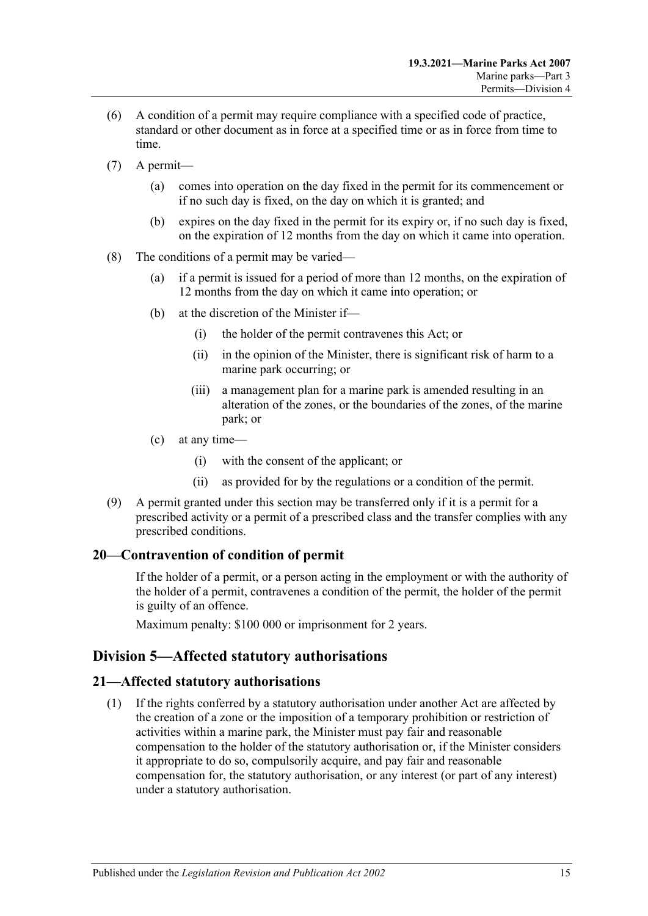- (6) A condition of a permit may require compliance with a specified code of practice, standard or other document as in force at a specified time or as in force from time to time.
- (7) A permit—
	- (a) comes into operation on the day fixed in the permit for its commencement or if no such day is fixed, on the day on which it is granted; and
	- (b) expires on the day fixed in the permit for its expiry or, if no such day is fixed, on the expiration of 12 months from the day on which it came into operation.
- (8) The conditions of a permit may be varied—
	- (a) if a permit is issued for a period of more than 12 months, on the expiration of 12 months from the day on which it came into operation; or
	- (b) at the discretion of the Minister if—
		- (i) the holder of the permit contravenes this Act; or
		- (ii) in the opinion of the Minister, there is significant risk of harm to a marine park occurring; or
		- (iii) a management plan for a marine park is amended resulting in an alteration of the zones, or the boundaries of the zones, of the marine park; or
	- (c) at any time—
		- (i) with the consent of the applicant; or
		- (ii) as provided for by the regulations or a condition of the permit.
- (9) A permit granted under this section may be transferred only if it is a permit for a prescribed activity or a permit of a prescribed class and the transfer complies with any prescribed conditions.

# <span id="page-14-0"></span>**20—Contravention of condition of permit**

If the holder of a permit, or a person acting in the employment or with the authority of the holder of a permit, contravenes a condition of the permit, the holder of the permit is guilty of an offence.

Maximum penalty: \$100 000 or imprisonment for 2 years.

# <span id="page-14-1"></span>**Division 5—Affected statutory authorisations**

# <span id="page-14-2"></span>**21—Affected statutory authorisations**

(1) If the rights conferred by a statutory authorisation under another Act are affected by the creation of a zone or the imposition of a temporary prohibition or restriction of activities within a marine park, the Minister must pay fair and reasonable compensation to the holder of the statutory authorisation or, if the Minister considers it appropriate to do so, compulsorily acquire, and pay fair and reasonable compensation for, the statutory authorisation, or any interest (or part of any interest) under a statutory authorisation.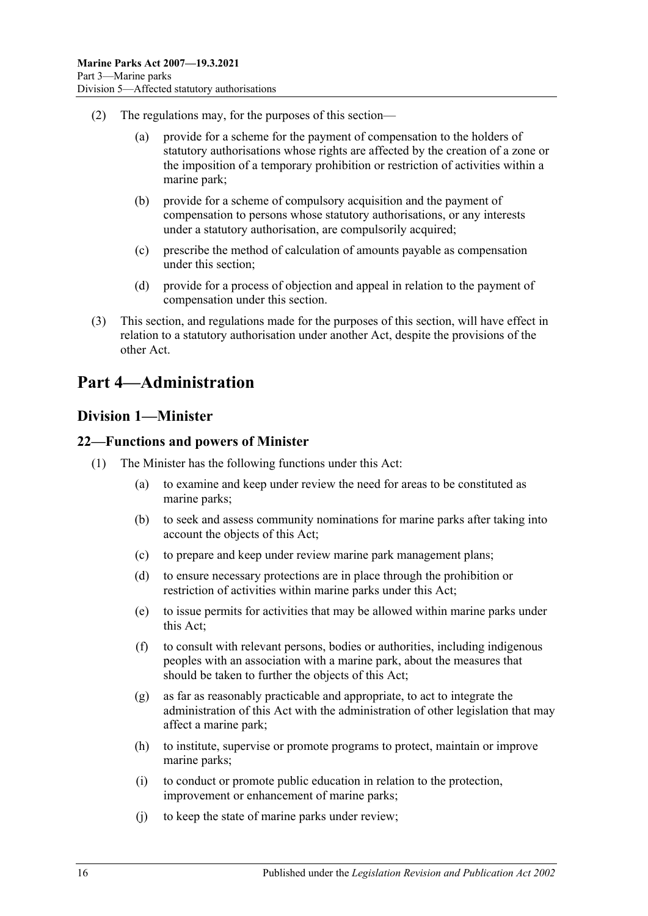- (2) The regulations may, for the purposes of this section—
	- (a) provide for a scheme for the payment of compensation to the holders of statutory authorisations whose rights are affected by the creation of a zone or the imposition of a temporary prohibition or restriction of activities within a marine park;
	- (b) provide for a scheme of compulsory acquisition and the payment of compensation to persons whose statutory authorisations, or any interests under a statutory authorisation, are compulsorily acquired;
	- (c) prescribe the method of calculation of amounts payable as compensation under this section;
	- (d) provide for a process of objection and appeal in relation to the payment of compensation under this section.
- (3) This section, and regulations made for the purposes of this section, will have effect in relation to a statutory authorisation under another Act, despite the provisions of the other Act.

# <span id="page-15-0"></span>**Part 4—Administration**

# <span id="page-15-1"></span>**Division 1—Minister**

# <span id="page-15-2"></span>**22—Functions and powers of Minister**

- (1) The Minister has the following functions under this Act:
	- (a) to examine and keep under review the need for areas to be constituted as marine parks;
	- (b) to seek and assess community nominations for marine parks after taking into account the objects of this Act;
	- (c) to prepare and keep under review marine park management plans;
	- (d) to ensure necessary protections are in place through the prohibition or restriction of activities within marine parks under this Act;
	- (e) to issue permits for activities that may be allowed within marine parks under this Act;
	- (f) to consult with relevant persons, bodies or authorities, including indigenous peoples with an association with a marine park, about the measures that should be taken to further the objects of this Act;
	- (g) as far as reasonably practicable and appropriate, to act to integrate the administration of this Act with the administration of other legislation that may affect a marine park;
	- (h) to institute, supervise or promote programs to protect, maintain or improve marine parks;
	- (i) to conduct or promote public education in relation to the protection, improvement or enhancement of marine parks;
	- (j) to keep the state of marine parks under review;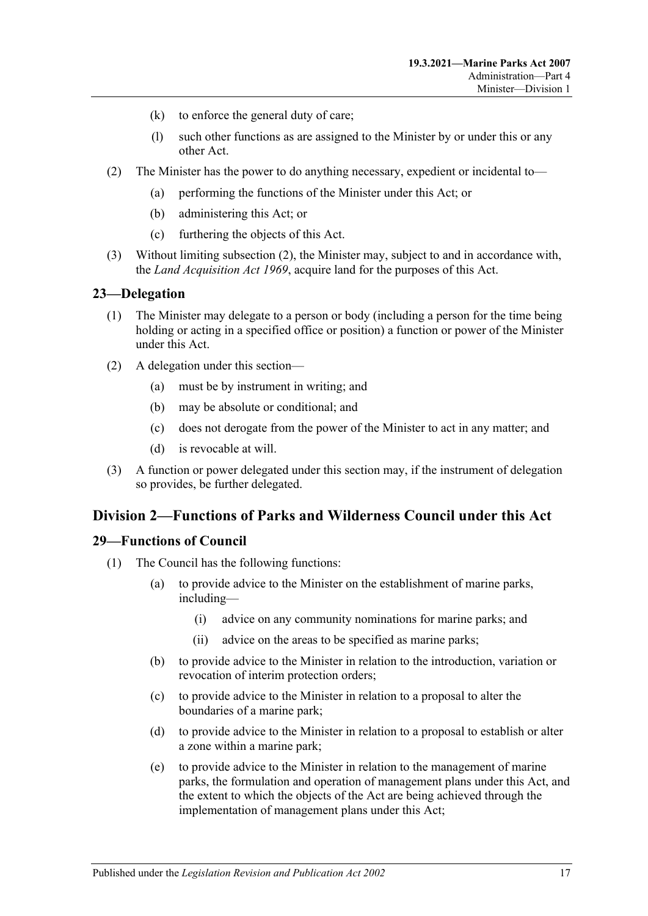- (k) to enforce the general duty of care;
- (l) such other functions as are assigned to the Minister by or under this or any other Act.
- <span id="page-16-3"></span>(2) The Minister has the power to do anything necessary, expedient or incidental to—
	- (a) performing the functions of the Minister under this Act; or
	- (b) administering this Act; or
	- (c) furthering the objects of this Act.
- (3) Without limiting [subsection](#page-16-3) (2), the Minister may, subject to and in accordance with, the *[Land Acquisition Act](http://www.legislation.sa.gov.au/index.aspx?action=legref&type=act&legtitle=Land%20Acquisition%20Act%201969) 1969*, acquire land for the purposes of this Act.

#### <span id="page-16-0"></span>**23—Delegation**

- (1) The Minister may delegate to a person or body (including a person for the time being holding or acting in a specified office or position) a function or power of the Minister under this Act.
- (2) A delegation under this section—
	- (a) must be by instrument in writing; and
	- (b) may be absolute or conditional; and
	- (c) does not derogate from the power of the Minister to act in any matter; and
	- (d) is revocable at will.
- (3) A function or power delegated under this section may, if the instrument of delegation so provides, be further delegated.

# <span id="page-16-1"></span>**Division 2—Functions of Parks and Wilderness Council under this Act**

#### <span id="page-16-2"></span>**29—Functions of Council**

- (1) The Council has the following functions:
	- (a) to provide advice to the Minister on the establishment of marine parks, including—
		- (i) advice on any community nominations for marine parks; and
		- (ii) advice on the areas to be specified as marine parks;
	- (b) to provide advice to the Minister in relation to the introduction, variation or revocation of interim protection orders;
	- (c) to provide advice to the Minister in relation to a proposal to alter the boundaries of a marine park;
	- (d) to provide advice to the Minister in relation to a proposal to establish or alter a zone within a marine park;
	- (e) to provide advice to the Minister in relation to the management of marine parks, the formulation and operation of management plans under this Act, and the extent to which the objects of the Act are being achieved through the implementation of management plans under this Act;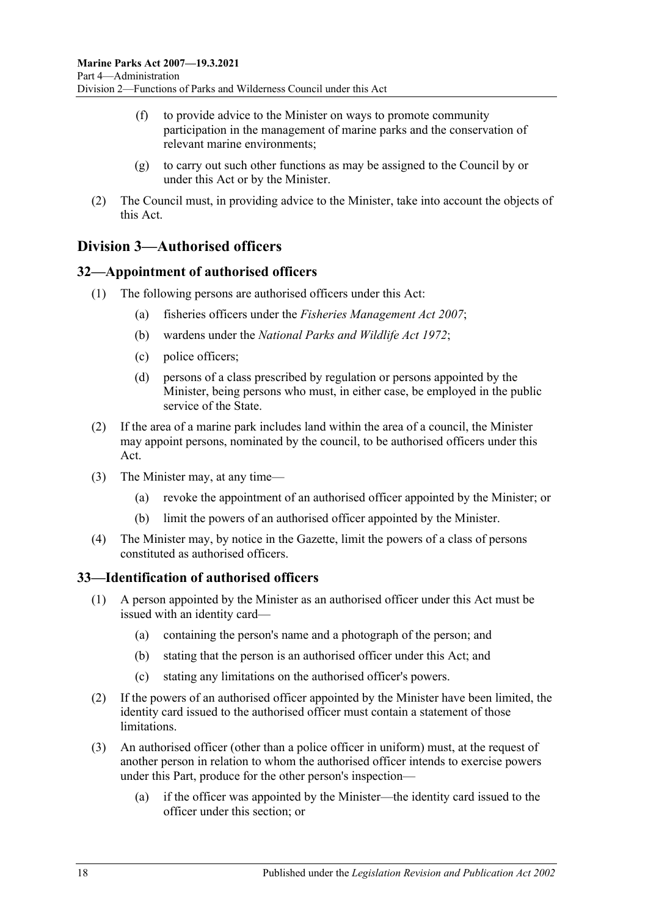- (f) to provide advice to the Minister on ways to promote community participation in the management of marine parks and the conservation of relevant marine environments;
- (g) to carry out such other functions as may be assigned to the Council by or under this Act or by the Minister.
- (2) The Council must, in providing advice to the Minister, take into account the objects of this Act.

# <span id="page-17-0"></span>**Division 3—Authorised officers**

# <span id="page-17-1"></span>**32—Appointment of authorised officers**

- (1) The following persons are authorised officers under this Act:
	- (a) fisheries officers under the *[Fisheries Management Act](http://www.legislation.sa.gov.au/index.aspx?action=legref&type=act&legtitle=Fisheries%20Management%20Act%202007) 2007*;
	- (b) wardens under the *[National Parks and Wildlife Act](http://www.legislation.sa.gov.au/index.aspx?action=legref&type=act&legtitle=National%20Parks%20and%20Wildlife%20Act%201972) 1972*;
	- (c) police officers;
	- (d) persons of a class prescribed by regulation or persons appointed by the Minister, being persons who must, in either case, be employed in the public service of the State.
- (2) If the area of a marine park includes land within the area of a council, the Minister may appoint persons, nominated by the council, to be authorised officers under this Act.
- (3) The Minister may, at any time—
	- (a) revoke the appointment of an authorised officer appointed by the Minister; or
	- (b) limit the powers of an authorised officer appointed by the Minister.
- (4) The Minister may, by notice in the Gazette, limit the powers of a class of persons constituted as authorised officers.

# <span id="page-17-2"></span>**33—Identification of authorised officers**

- (1) A person appointed by the Minister as an authorised officer under this Act must be issued with an identity card—
	- (a) containing the person's name and a photograph of the person; and
	- (b) stating that the person is an authorised officer under this Act; and
	- (c) stating any limitations on the authorised officer's powers.
- (2) If the powers of an authorised officer appointed by the Minister have been limited, the identity card issued to the authorised officer must contain a statement of those limitations.
- (3) An authorised officer (other than a police officer in uniform) must, at the request of another person in relation to whom the authorised officer intends to exercise powers under this Part, produce for the other person's inspection—
	- (a) if the officer was appointed by the Minister—the identity card issued to the officer under this section; or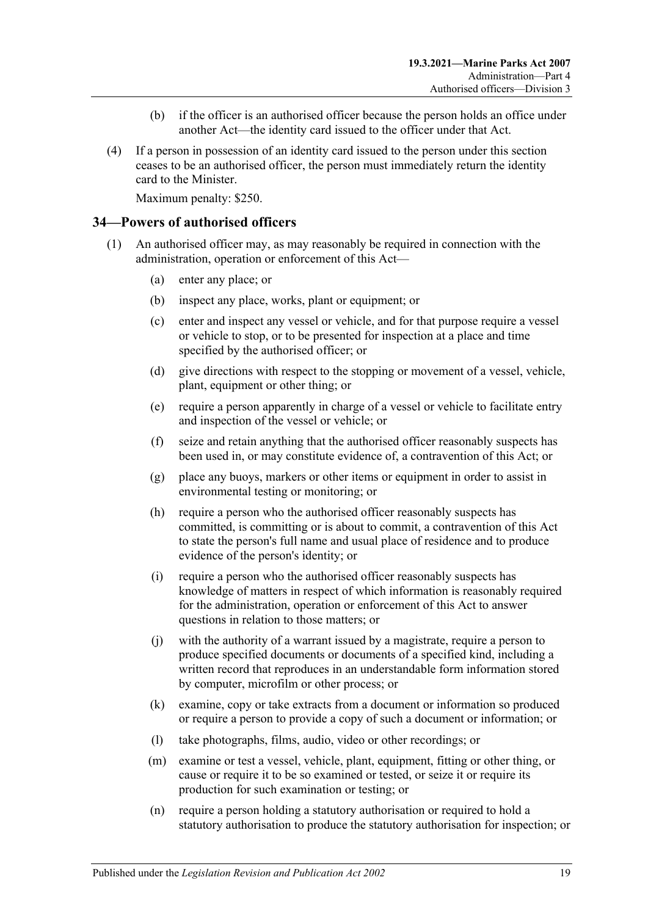- (b) if the officer is an authorised officer because the person holds an office under another Act—the identity card issued to the officer under that Act.
- (4) If a person in possession of an identity card issued to the person under this section ceases to be an authorised officer, the person must immediately return the identity card to the Minister.

Maximum penalty: \$250.

#### <span id="page-18-0"></span>**34—Powers of authorised officers**

- <span id="page-18-2"></span><span id="page-18-1"></span>(1) An authorised officer may, as may reasonably be required in connection with the administration, operation or enforcement of this Act—
	- (a) enter any place; or
	- (b) inspect any place, works, plant or equipment; or
	- (c) enter and inspect any vessel or vehicle, and for that purpose require a vessel or vehicle to stop, or to be presented for inspection at a place and time specified by the authorised officer; or
	- (d) give directions with respect to the stopping or movement of a vessel, vehicle, plant, equipment or other thing; or
	- (e) require a person apparently in charge of a vessel or vehicle to facilitate entry and inspection of the vessel or vehicle; or
	- (f) seize and retain anything that the authorised officer reasonably suspects has been used in, or may constitute evidence of, a contravention of this Act; or
	- (g) place any buoys, markers or other items or equipment in order to assist in environmental testing or monitoring; or
	- (h) require a person who the authorised officer reasonably suspects has committed, is committing or is about to commit, a contravention of this Act to state the person's full name and usual place of residence and to produce evidence of the person's identity; or
	- (i) require a person who the authorised officer reasonably suspects has knowledge of matters in respect of which information is reasonably required for the administration, operation or enforcement of this Act to answer questions in relation to those matters; or
	- (j) with the authority of a warrant issued by a magistrate, require a person to produce specified documents or documents of a specified kind, including a written record that reproduces in an understandable form information stored by computer, microfilm or other process; or
	- (k) examine, copy or take extracts from a document or information so produced or require a person to provide a copy of such a document or information; or
	- (l) take photographs, films, audio, video or other recordings; or
	- (m) examine or test a vessel, vehicle, plant, equipment, fitting or other thing, or cause or require it to be so examined or tested, or seize it or require its production for such examination or testing; or
	- (n) require a person holding a statutory authorisation or required to hold a statutory authorisation to produce the statutory authorisation for inspection; or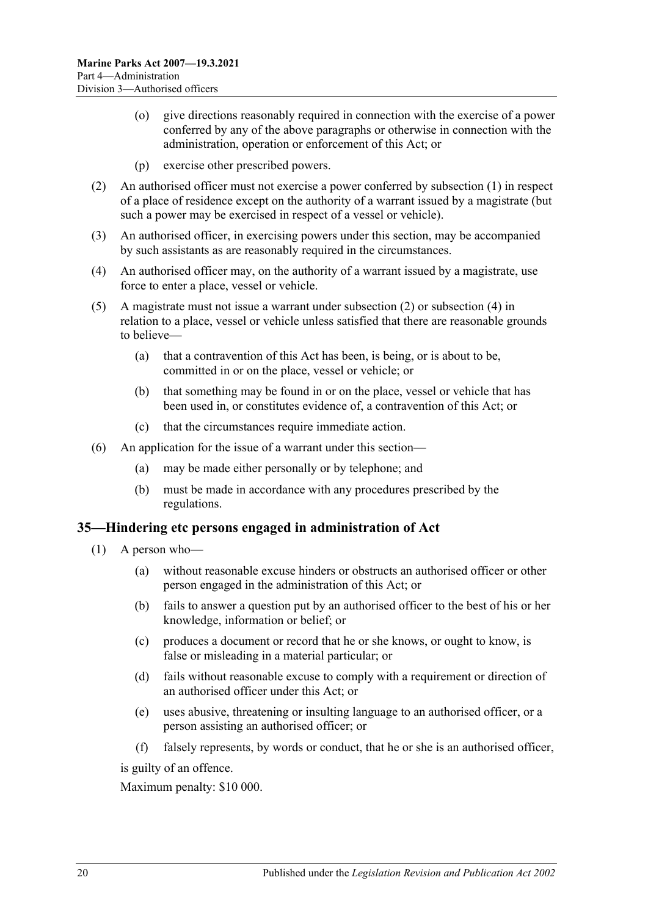- (o) give directions reasonably required in connection with the exercise of a power conferred by any of the above paragraphs or otherwise in connection with the administration, operation or enforcement of this Act; or
- (p) exercise other prescribed powers.
- <span id="page-19-1"></span>(2) An authorised officer must not exercise a power conferred by [subsection](#page-18-1) (1) in respect of a place of residence except on the authority of a warrant issued by a magistrate (but such a power may be exercised in respect of a vessel or vehicle).
- (3) An authorised officer, in exercising powers under this section, may be accompanied by such assistants as are reasonably required in the circumstances.
- <span id="page-19-2"></span>(4) An authorised officer may, on the authority of a warrant issued by a magistrate, use force to enter a place, vessel or vehicle.
- (5) A magistrate must not issue a warrant under [subsection](#page-19-1) (2) or [subsection](#page-19-2) (4) in relation to a place, vessel or vehicle unless satisfied that there are reasonable grounds to believe—
	- (a) that a contravention of this Act has been, is being, or is about to be, committed in or on the place, vessel or vehicle; or
	- (b) that something may be found in or on the place, vessel or vehicle that has been used in, or constitutes evidence of, a contravention of this Act; or
	- (c) that the circumstances require immediate action.
- (6) An application for the issue of a warrant under this section—
	- (a) may be made either personally or by telephone; and
	- (b) must be made in accordance with any procedures prescribed by the regulations.

#### <span id="page-19-0"></span>**35—Hindering etc persons engaged in administration of Act**

- (1) A person who—
	- (a) without reasonable excuse hinders or obstructs an authorised officer or other person engaged in the administration of this Act; or
	- (b) fails to answer a question put by an authorised officer to the best of his or her knowledge, information or belief; or
	- (c) produces a document or record that he or she knows, or ought to know, is false or misleading in a material particular; or
	- (d) fails without reasonable excuse to comply with a requirement or direction of an authorised officer under this Act; or
	- (e) uses abusive, threatening or insulting language to an authorised officer, or a person assisting an authorised officer; or
	- (f) falsely represents, by words or conduct, that he or she is an authorised officer,

is guilty of an offence.

Maximum penalty: \$10 000.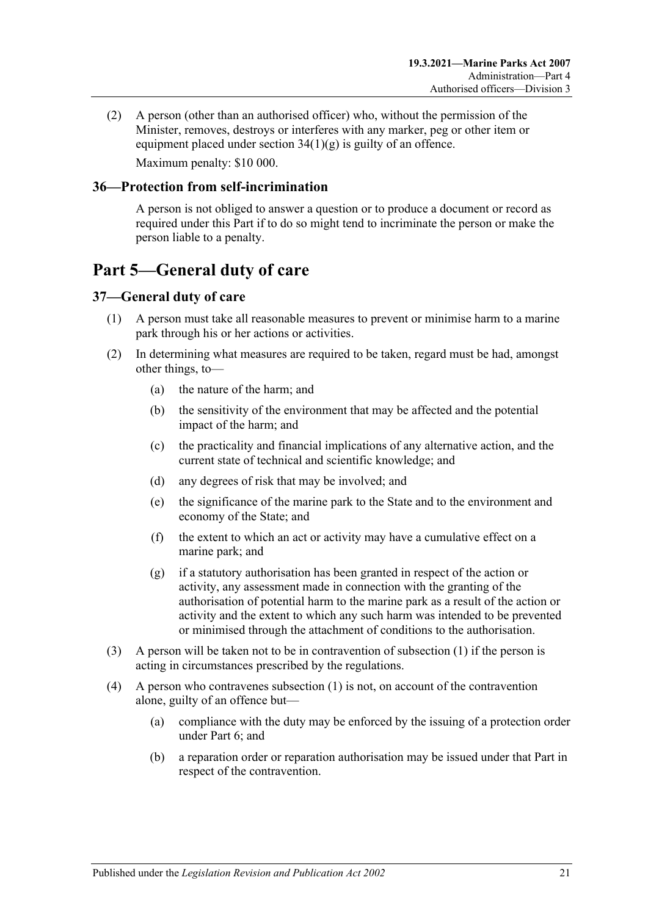(2) A person (other than an authorised officer) who, without the permission of the Minister, removes, destroys or interferes with any marker, peg or other item or equipment placed under section  $34(1)(g)$  is guilty of an offence. Maximum penalty: \$10 000.

# <span id="page-20-0"></span>**36—Protection from self-incrimination**

A person is not obliged to answer a question or to produce a document or record as required under this Part if to do so might tend to incriminate the person or make the person liable to a penalty.

# <span id="page-20-1"></span>**Part 5—General duty of care**

# <span id="page-20-3"></span><span id="page-20-2"></span>**37—General duty of care**

- (1) A person must take all reasonable measures to prevent or minimise harm to a marine park through his or her actions or activities.
- (2) In determining what measures are required to be taken, regard must be had, amongst other things, to—
	- (a) the nature of the harm; and
	- (b) the sensitivity of the environment that may be affected and the potential impact of the harm; and
	- (c) the practicality and financial implications of any alternative action, and the current state of technical and scientific knowledge; and
	- (d) any degrees of risk that may be involved; and
	- (e) the significance of the marine park to the State and to the environment and economy of the State; and
	- (f) the extent to which an act or activity may have a cumulative effect on a marine park; and
	- (g) if a statutory authorisation has been granted in respect of the action or activity, any assessment made in connection with the granting of the authorisation of potential harm to the marine park as a result of the action or activity and the extent to which any such harm was intended to be prevented or minimised through the attachment of conditions to the authorisation.
- (3) A person will be taken not to be in contravention of [subsection](#page-20-3) (1) if the person is acting in circumstances prescribed by the regulations.
- (4) A person who contravenes [subsection](#page-20-3) (1) is not, on account of the contravention alone, guilty of an offence but—
	- (a) compliance with the duty may be enforced by the issuing of a protection order under [Part 6;](#page-21-0) and
	- (b) a reparation order or reparation authorisation may be issued under that Part in respect of the contravention.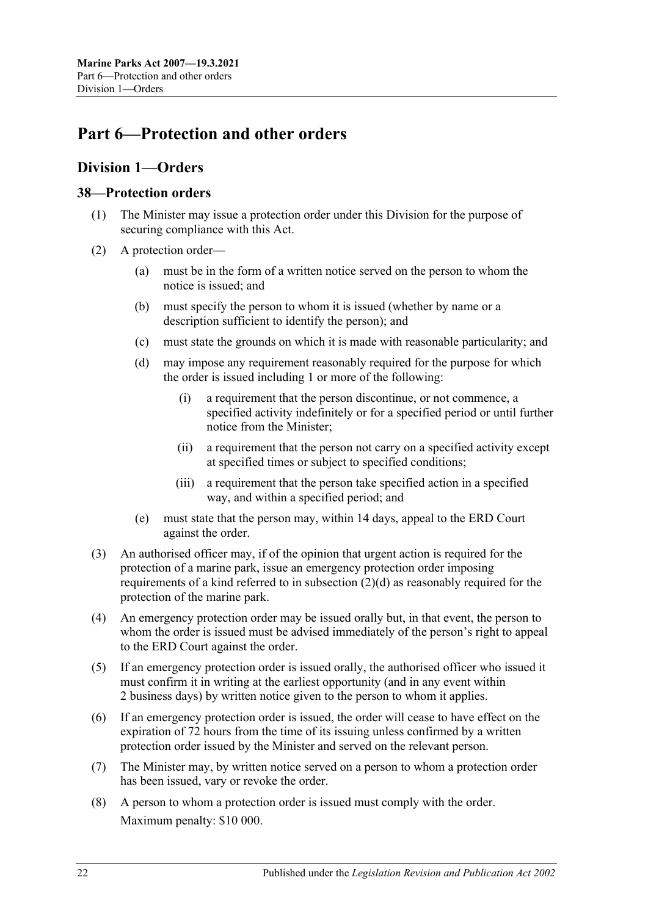# <span id="page-21-0"></span>**Part 6—Protection and other orders**

# <span id="page-21-1"></span>**Division 1—Orders**

# <span id="page-21-2"></span>**38—Protection orders**

- (1) The Minister may issue a protection order under this Division for the purpose of securing compliance with this Act.
- <span id="page-21-3"></span>(2) A protection order—
	- (a) must be in the form of a written notice served on the person to whom the notice is issued; and
	- (b) must specify the person to whom it is issued (whether by name or a description sufficient to identify the person); and
	- (c) must state the grounds on which it is made with reasonable particularity; and
	- (d) may impose any requirement reasonably required for the purpose for which the order is issued including 1 or more of the following:
		- (i) a requirement that the person discontinue, or not commence, a specified activity indefinitely or for a specified period or until further notice from the Minister;
		- (ii) a requirement that the person not carry on a specified activity except at specified times or subject to specified conditions;
		- (iii) a requirement that the person take specified action in a specified way, and within a specified period; and
	- (e) must state that the person may, within 14 days, appeal to the ERD Court against the order.
- (3) An authorised officer may, if of the opinion that urgent action is required for the protection of a marine park, issue an emergency protection order imposing requirements of a kind referred to in [subsection](#page-21-3) (2)(d) as reasonably required for the protection of the marine park.
- (4) An emergency protection order may be issued orally but, in that event, the person to whom the order is issued must be advised immediately of the person's right to appeal to the ERD Court against the order.
- (5) If an emergency protection order is issued orally, the authorised officer who issued it must confirm it in writing at the earliest opportunity (and in any event within 2 business days) by written notice given to the person to whom it applies.
- (6) If an emergency protection order is issued, the order will cease to have effect on the expiration of 72 hours from the time of its issuing unless confirmed by a written protection order issued by the Minister and served on the relevant person.
- (7) The Minister may, by written notice served on a person to whom a protection order has been issued, vary or revoke the order.
- (8) A person to whom a protection order is issued must comply with the order. Maximum penalty: \$10 000.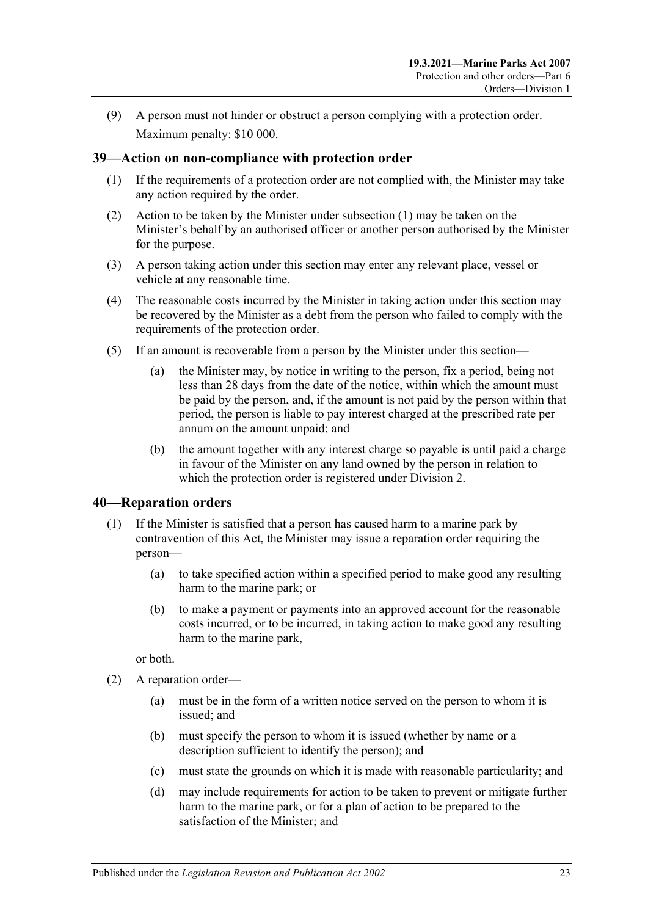(9) A person must not hinder or obstruct a person complying with a protection order. Maximum penalty: \$10 000.

# <span id="page-22-2"></span><span id="page-22-0"></span>**39—Action on non-compliance with protection order**

- (1) If the requirements of a protection order are not complied with, the Minister may take any action required by the order.
- (2) Action to be taken by the Minister under [subsection](#page-22-2) (1) may be taken on the Minister's behalf by an authorised officer or another person authorised by the Minister for the purpose.
- (3) A person taking action under this section may enter any relevant place, vessel or vehicle at any reasonable time.
- (4) The reasonable costs incurred by the Minister in taking action under this section may be recovered by the Minister as a debt from the person who failed to comply with the requirements of the protection order.
- (5) If an amount is recoverable from a person by the Minister under this section—
	- (a) the Minister may, by notice in writing to the person, fix a period, being not less than 28 days from the date of the notice, within which the amount must be paid by the person, and, if the amount is not paid by the person within that period, the person is liable to pay interest charged at the prescribed rate per annum on the amount unpaid; and
	- (b) the amount together with any interest charge so payable is until paid a charge in favour of the Minister on any land owned by the person in relation to which the protection order is registered under [Division 2.](#page-25-1)

# <span id="page-22-1"></span>**40—Reparation orders**

- (1) If the Minister is satisfied that a person has caused harm to a marine park by contravention of this Act, the Minister may issue a reparation order requiring the person—
	- (a) to take specified action within a specified period to make good any resulting harm to the marine park; or
	- (b) to make a payment or payments into an approved account for the reasonable costs incurred, or to be incurred, in taking action to make good any resulting harm to the marine park,

or both.

- <span id="page-22-3"></span>(2) A reparation order—
	- (a) must be in the form of a written notice served on the person to whom it is issued; and
	- (b) must specify the person to whom it is issued (whether by name or a description sufficient to identify the person); and
	- (c) must state the grounds on which it is made with reasonable particularity; and
	- (d) may include requirements for action to be taken to prevent or mitigate further harm to the marine park, or for a plan of action to be prepared to the satisfaction of the Minister; and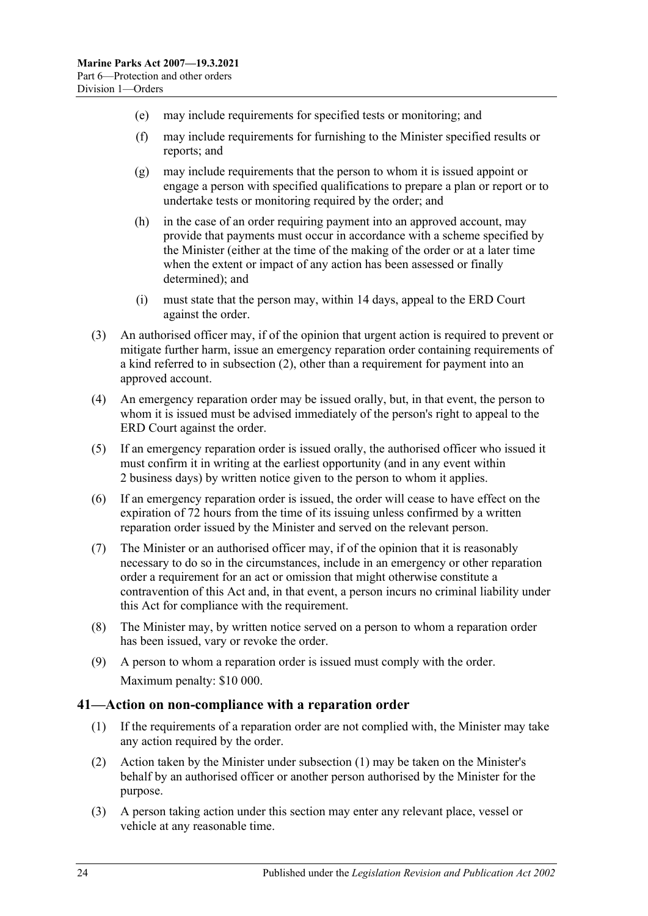- (e) may include requirements for specified tests or monitoring; and
- (f) may include requirements for furnishing to the Minister specified results or reports; and
- (g) may include requirements that the person to whom it is issued appoint or engage a person with specified qualifications to prepare a plan or report or to undertake tests or monitoring required by the order; and
- (h) in the case of an order requiring payment into an approved account, may provide that payments must occur in accordance with a scheme specified by the Minister (either at the time of the making of the order or at a later time when the extent or impact of any action has been assessed or finally determined); and
- (i) must state that the person may, within 14 days, appeal to the ERD Court against the order.
- (3) An authorised officer may, if of the opinion that urgent action is required to prevent or mitigate further harm, issue an emergency reparation order containing requirements of a kind referred to in [subsection](#page-22-3) (2), other than a requirement for payment into an approved account.
- (4) An emergency reparation order may be issued orally, but, in that event, the person to whom it is issued must be advised immediately of the person's right to appeal to the ERD Court against the order.
- (5) If an emergency reparation order is issued orally, the authorised officer who issued it must confirm it in writing at the earliest opportunity (and in any event within 2 business days) by written notice given to the person to whom it applies.
- (6) If an emergency reparation order is issued, the order will cease to have effect on the expiration of 72 hours from the time of its issuing unless confirmed by a written reparation order issued by the Minister and served on the relevant person.
- (7) The Minister or an authorised officer may, if of the opinion that it is reasonably necessary to do so in the circumstances, include in an emergency or other reparation order a requirement for an act or omission that might otherwise constitute a contravention of this Act and, in that event, a person incurs no criminal liability under this Act for compliance with the requirement.
- (8) The Minister may, by written notice served on a person to whom a reparation order has been issued, vary or revoke the order.
- (9) A person to whom a reparation order is issued must comply with the order. Maximum penalty: \$10 000.

#### <span id="page-23-1"></span><span id="page-23-0"></span>**41—Action on non-compliance with a reparation order**

- (1) If the requirements of a reparation order are not complied with, the Minister may take any action required by the order.
- (2) Action taken by the Minister under [subsection](#page-23-1) (1) may be taken on the Minister's behalf by an authorised officer or another person authorised by the Minister for the purpose.
- (3) A person taking action under this section may enter any relevant place, vessel or vehicle at any reasonable time.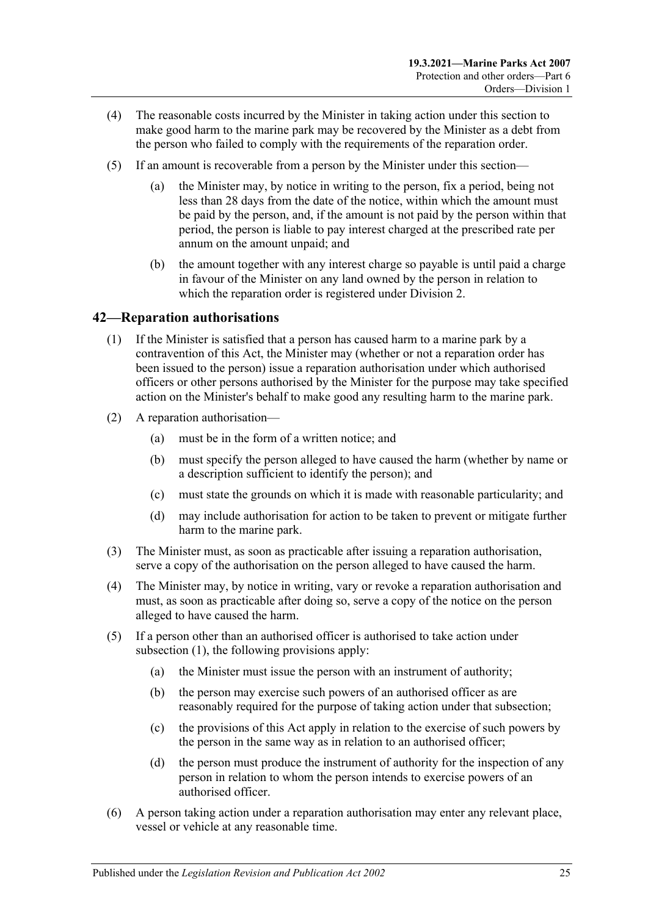- (4) The reasonable costs incurred by the Minister in taking action under this section to make good harm to the marine park may be recovered by the Minister as a debt from the person who failed to comply with the requirements of the reparation order.
- (5) If an amount is recoverable from a person by the Minister under this section—
	- (a) the Minister may, by notice in writing to the person, fix a period, being not less than 28 days from the date of the notice, within which the amount must be paid by the person, and, if the amount is not paid by the person within that period, the person is liable to pay interest charged at the prescribed rate per annum on the amount unpaid; and
	- (b) the amount together with any interest charge so payable is until paid a charge in favour of the Minister on any land owned by the person in relation to which the reparation order is registered under [Division 2.](#page-25-1)

# <span id="page-24-1"></span><span id="page-24-0"></span>**42—Reparation authorisations**

- (1) If the Minister is satisfied that a person has caused harm to a marine park by a contravention of this Act, the Minister may (whether or not a reparation order has been issued to the person) issue a reparation authorisation under which authorised officers or other persons authorised by the Minister for the purpose may take specified action on the Minister's behalf to make good any resulting harm to the marine park.
- (2) A reparation authorisation—
	- (a) must be in the form of a written notice; and
	- (b) must specify the person alleged to have caused the harm (whether by name or a description sufficient to identify the person); and
	- (c) must state the grounds on which it is made with reasonable particularity; and
	- (d) may include authorisation for action to be taken to prevent or mitigate further harm to the marine park.
- (3) The Minister must, as soon as practicable after issuing a reparation authorisation, serve a copy of the authorisation on the person alleged to have caused the harm.
- (4) The Minister may, by notice in writing, vary or revoke a reparation authorisation and must, as soon as practicable after doing so, serve a copy of the notice on the person alleged to have caused the harm.
- (5) If a person other than an authorised officer is authorised to take action under [subsection](#page-24-1) (1), the following provisions apply:
	- (a) the Minister must issue the person with an instrument of authority;
	- (b) the person may exercise such powers of an authorised officer as are reasonably required for the purpose of taking action under that subsection;
	- (c) the provisions of this Act apply in relation to the exercise of such powers by the person in the same way as in relation to an authorised officer;
	- (d) the person must produce the instrument of authority for the inspection of any person in relation to whom the person intends to exercise powers of an authorised officer.
- (6) A person taking action under a reparation authorisation may enter any relevant place, vessel or vehicle at any reasonable time.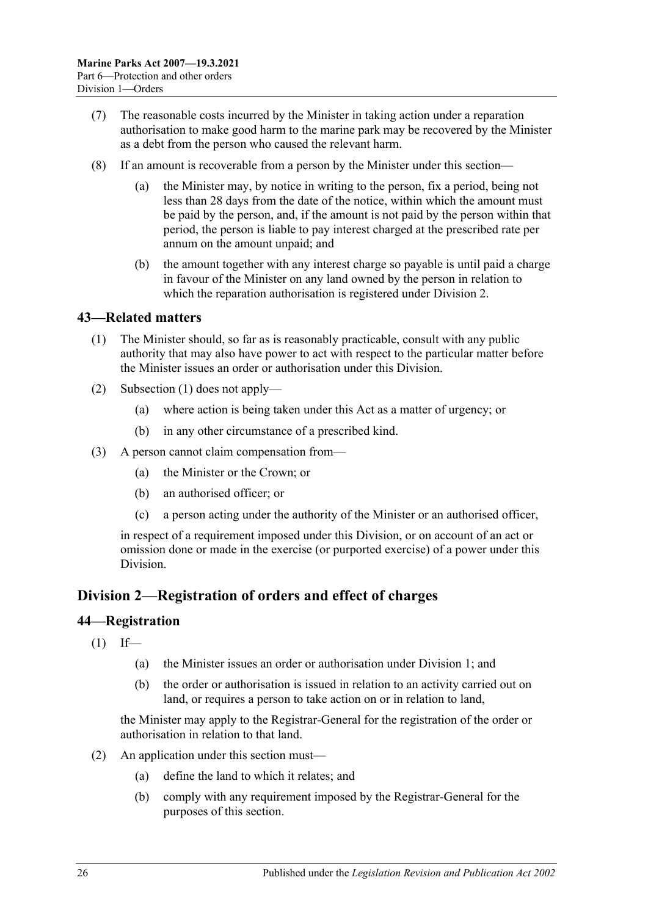- (7) The reasonable costs incurred by the Minister in taking action under a reparation authorisation to make good harm to the marine park may be recovered by the Minister as a debt from the person who caused the relevant harm.
- (8) If an amount is recoverable from a person by the Minister under this section
	- the Minister may, by notice in writing to the person, fix a period, being not less than 28 days from the date of the notice, within which the amount must be paid by the person, and, if the amount is not paid by the person within that period, the person is liable to pay interest charged at the prescribed rate per annum on the amount unpaid; and
	- (b) the amount together with any interest charge so payable is until paid a charge in favour of the Minister on any land owned by the person in relation to which the reparation authorisation is registered under [Division 2.](#page-25-1)

# <span id="page-25-3"></span><span id="page-25-0"></span>**43—Related matters**

- (1) The Minister should, so far as is reasonably practicable, consult with any public authority that may also have power to act with respect to the particular matter before the Minister issues an order or authorisation under this Division.
- (2) [Subsection](#page-25-3) (1) does not apply—
	- (a) where action is being taken under this Act as a matter of urgency; or
	- (b) in any other circumstance of a prescribed kind.
- (3) A person cannot claim compensation from—
	- (a) the Minister or the Crown; or
	- (b) an authorised officer; or
	- (c) a person acting under the authority of the Minister or an authorised officer,

in respect of a requirement imposed under this Division, or on account of an act or omission done or made in the exercise (or purported exercise) of a power under this Division.

# <span id="page-25-1"></span>**Division 2—Registration of orders and effect of charges**

#### <span id="page-25-2"></span>**44—Registration**

- $(1)$  If—
	- (a) the Minister issues an order or authorisation under [Division 1;](#page-21-1) and
	- (b) the order or authorisation is issued in relation to an activity carried out on land, or requires a person to take action on or in relation to land,

the Minister may apply to the Registrar-General for the registration of the order or authorisation in relation to that land.

- <span id="page-25-4"></span>(2) An application under this section must—
	- (a) define the land to which it relates; and
	- (b) comply with any requirement imposed by the Registrar-General for the purposes of this section.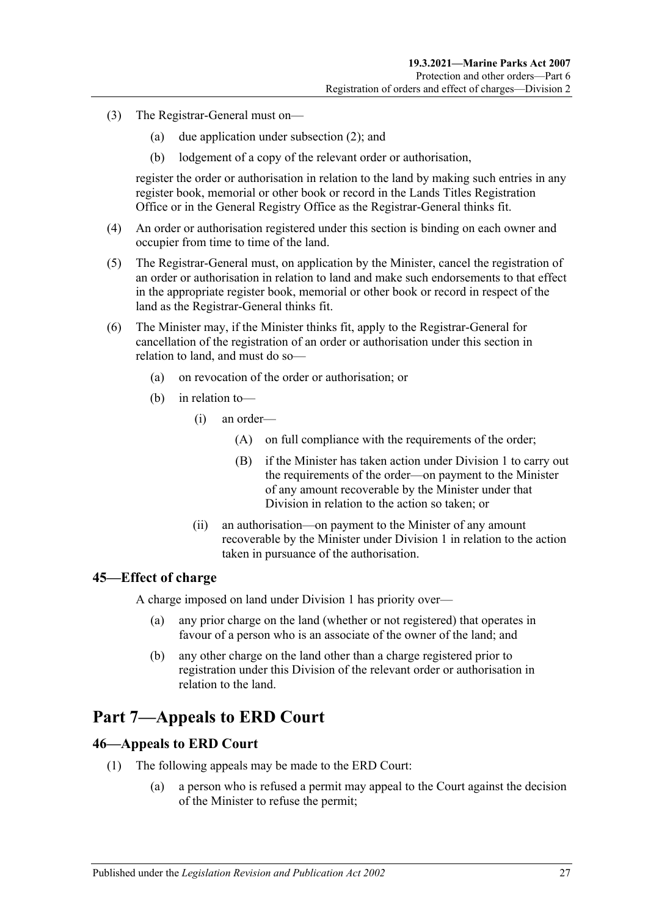- (3) The Registrar-General must on—
	- (a) due application under [subsection](#page-25-4) (2); and
	- (b) lodgement of a copy of the relevant order or authorisation,

register the order or authorisation in relation to the land by making such entries in any register book, memorial or other book or record in the Lands Titles Registration Office or in the General Registry Office as the Registrar-General thinks fit.

- (4) An order or authorisation registered under this section is binding on each owner and occupier from time to time of the land.
- (5) The Registrar-General must, on application by the Minister, cancel the registration of an order or authorisation in relation to land and make such endorsements to that effect in the appropriate register book, memorial or other book or record in respect of the land as the Registrar-General thinks fit.
- (6) The Minister may, if the Minister thinks fit, apply to the Registrar-General for cancellation of the registration of an order or authorisation under this section in relation to land, and must do so—
	- (a) on revocation of the order or authorisation; or
	- (b) in relation to—
		- (i) an order—
			- (A) on full compliance with the requirements of the order;
			- (B) if the Minister has taken action under [Division 1](#page-21-1) to carry out the requirements of the order—on payment to the Minister of any amount recoverable by the Minister under that Division in relation to the action so taken; or
		- (ii) an authorisation—on payment to the Minister of any amount recoverable by the Minister under [Division 1](#page-21-1) in relation to the action taken in pursuance of the authorisation.

# <span id="page-26-0"></span>**45—Effect of charge**

A charge imposed on land under [Division 1](#page-21-1) has priority over—

- (a) any prior charge on the land (whether or not registered) that operates in favour of a person who is an associate of the owner of the land; and
- (b) any other charge on the land other than a charge registered prior to registration under this Division of the relevant order or authorisation in relation to the land.

# <span id="page-26-1"></span>**Part 7—Appeals to ERD Court**

# <span id="page-26-2"></span>**46—Appeals to ERD Court**

- <span id="page-26-3"></span>(1) The following appeals may be made to the ERD Court:
	- (a) a person who is refused a permit may appeal to the Court against the decision of the Minister to refuse the permit;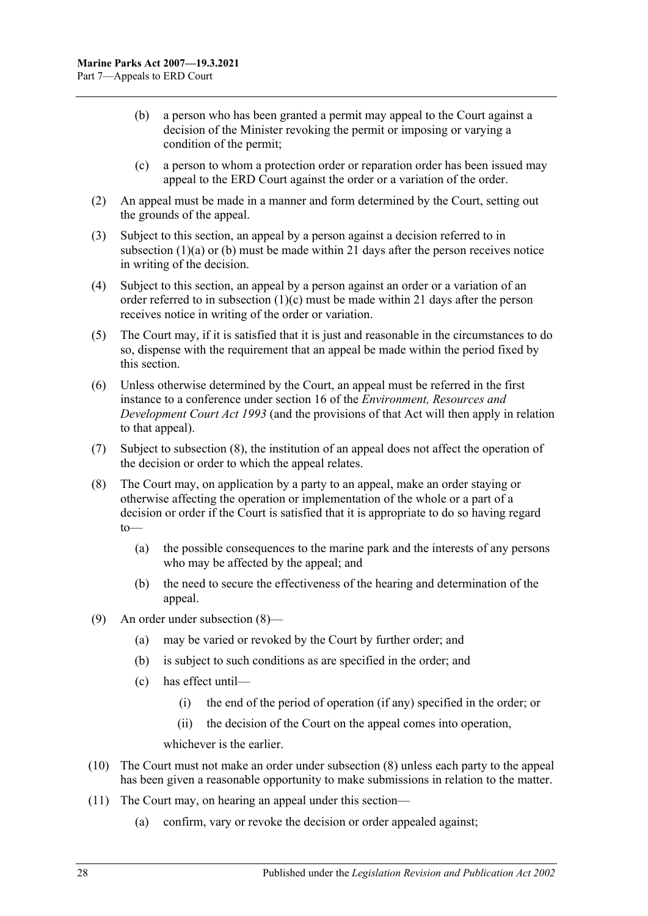- <span id="page-27-0"></span>(b) a person who has been granted a permit may appeal to the Court against a decision of the Minister revoking the permit or imposing or varying a condition of the permit;
- (c) a person to whom a protection order or reparation order has been issued may appeal to the ERD Court against the order or a variation of the order.
- <span id="page-27-1"></span>(2) An appeal must be made in a manner and form determined by the Court, setting out the grounds of the appeal.
- (3) Subject to this section, an appeal by a person against a decision referred to in [subsection](#page-26-3) (1)(a) or [\(b\)](#page-27-0) must be made within 21 days after the person receives notice in writing of the decision.
- (4) Subject to this section, an appeal by a person against an order or a variation of an order referred to in [subsection](#page-27-1)  $(1)(c)$  must be made within 21 days after the person receives notice in writing of the order or variation.
- (5) The Court may, if it is satisfied that it is just and reasonable in the circumstances to do so, dispense with the requirement that an appeal be made within the period fixed by this section.
- (6) Unless otherwise determined by the Court, an appeal must be referred in the first instance to a conference under section 16 of the *[Environment, Resources and](http://www.legislation.sa.gov.au/index.aspx?action=legref&type=act&legtitle=Environment%20Resources%20and%20Development%20Court%20Act%201993)  [Development Court Act](http://www.legislation.sa.gov.au/index.aspx?action=legref&type=act&legtitle=Environment%20Resources%20and%20Development%20Court%20Act%201993) 1993* (and the provisions of that Act will then apply in relation to that appeal).
- (7) Subject to [subsection](#page-27-2) (8), the institution of an appeal does not affect the operation of the decision or order to which the appeal relates.
- <span id="page-27-2"></span>(8) The Court may, on application by a party to an appeal, make an order staying or otherwise affecting the operation or implementation of the whole or a part of a decision or order if the Court is satisfied that it is appropriate to do so having regard to—
	- (a) the possible consequences to the marine park and the interests of any persons who may be affected by the appeal; and
	- (b) the need to secure the effectiveness of the hearing and determination of the appeal.
- (9) An order under [subsection](#page-27-2) (8)—
	- (a) may be varied or revoked by the Court by further order; and
	- (b) is subject to such conditions as are specified in the order; and
	- (c) has effect until—
		- (i) the end of the period of operation (if any) specified in the order; or
		- (ii) the decision of the Court on the appeal comes into operation,

whichever is the earlier.

- (10) The Court must not make an order under [subsection](#page-27-2) (8) unless each party to the appeal has been given a reasonable opportunity to make submissions in relation to the matter.
- (11) The Court may, on hearing an appeal under this section—
	- (a) confirm, vary or revoke the decision or order appealed against;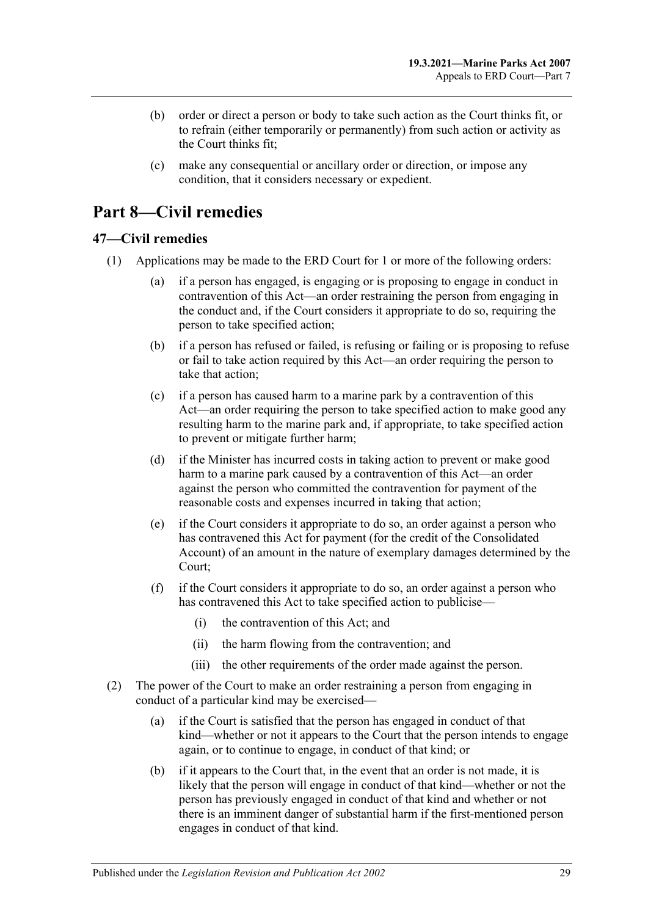- (b) order or direct a person or body to take such action as the Court thinks fit, or to refrain (either temporarily or permanently) from such action or activity as the Court thinks fit;
- (c) make any consequential or ancillary order or direction, or impose any condition, that it considers necessary or expedient.

# <span id="page-28-0"></span>**Part 8—Civil remedies**

# <span id="page-28-1"></span>**47—Civil remedies**

- <span id="page-28-2"></span>(1) Applications may be made to the ERD Court for 1 or more of the following orders:
	- (a) if a person has engaged, is engaging or is proposing to engage in conduct in contravention of this Act—an order restraining the person from engaging in the conduct and, if the Court considers it appropriate to do so, requiring the person to take specified action;
	- (b) if a person has refused or failed, is refusing or failing or is proposing to refuse or fail to take action required by this Act—an order requiring the person to take that action;
	- (c) if a person has caused harm to a marine park by a contravention of this Act—an order requiring the person to take specified action to make good any resulting harm to the marine park and, if appropriate, to take specified action to prevent or mitigate further harm;
	- (d) if the Minister has incurred costs in taking action to prevent or make good harm to a marine park caused by a contravention of this Act—an order against the person who committed the contravention for payment of the reasonable costs and expenses incurred in taking that action;
	- (e) if the Court considers it appropriate to do so, an order against a person who has contravened this Act for payment (for the credit of the Consolidated Account) of an amount in the nature of exemplary damages determined by the Court;
	- (f) if the Court considers it appropriate to do so, an order against a person who has contravened this Act to take specified action to publicise—
		- (i) the contravention of this Act; and
		- (ii) the harm flowing from the contravention; and
		- (iii) the other requirements of the order made against the person.
- (2) The power of the Court to make an order restraining a person from engaging in conduct of a particular kind may be exercised—
	- (a) if the Court is satisfied that the person has engaged in conduct of that kind—whether or not it appears to the Court that the person intends to engage again, or to continue to engage, in conduct of that kind; or
	- (b) if it appears to the Court that, in the event that an order is not made, it is likely that the person will engage in conduct of that kind—whether or not the person has previously engaged in conduct of that kind and whether or not there is an imminent danger of substantial harm if the first-mentioned person engages in conduct of that kind.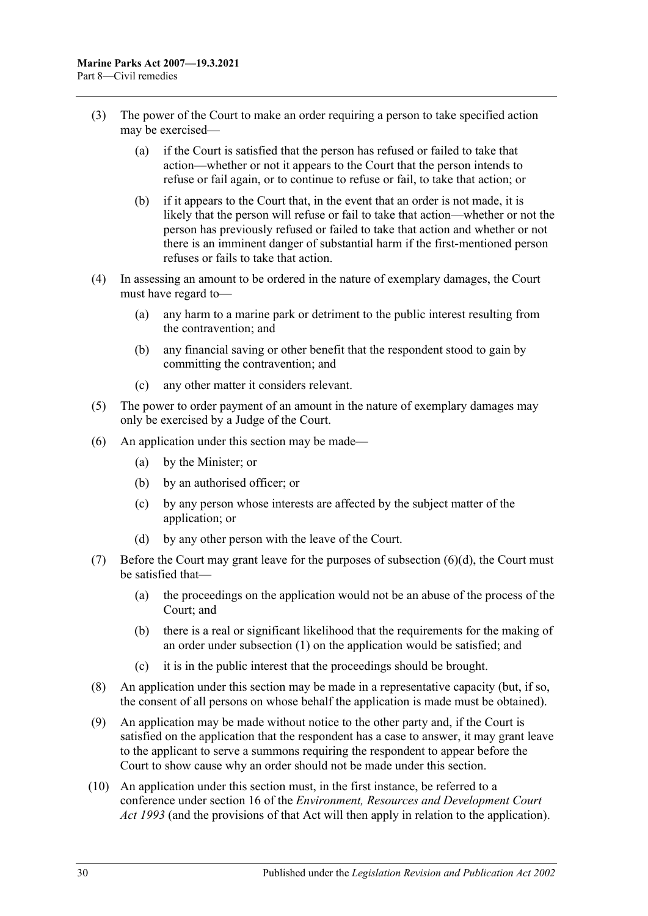- (3) The power of the Court to make an order requiring a person to take specified action may be exercised—
	- (a) if the Court is satisfied that the person has refused or failed to take that action—whether or not it appears to the Court that the person intends to refuse or fail again, or to continue to refuse or fail, to take that action; or
	- (b) if it appears to the Court that, in the event that an order is not made, it is likely that the person will refuse or fail to take that action—whether or not the person has previously refused or failed to take that action and whether or not there is an imminent danger of substantial harm if the first-mentioned person refuses or fails to take that action.
- (4) In assessing an amount to be ordered in the nature of exemplary damages, the Court must have regard to—
	- (a) any harm to a marine park or detriment to the public interest resulting from the contravention; and
	- (b) any financial saving or other benefit that the respondent stood to gain by committing the contravention; and
	- (c) any other matter it considers relevant.
- (5) The power to order payment of an amount in the nature of exemplary damages may only be exercised by a Judge of the Court.
- (6) An application under this section may be made—
	- (a) by the Minister; or
	- (b) by an authorised officer; or
	- (c) by any person whose interests are affected by the subject matter of the application; or
	- (d) by any other person with the leave of the Court.
- <span id="page-29-0"></span>(7) Before the Court may grant leave for the purposes of [subsection](#page-29-0) (6)(d), the Court must be satisfied that—
	- (a) the proceedings on the application would not be an abuse of the process of the Court; and
	- (b) there is a real or significant likelihood that the requirements for the making of an order under [subsection](#page-28-2) (1) on the application would be satisfied; and
	- (c) it is in the public interest that the proceedings should be brought.
- (8) An application under this section may be made in a representative capacity (but, if so, the consent of all persons on whose behalf the application is made must be obtained).
- (9) An application may be made without notice to the other party and, if the Court is satisfied on the application that the respondent has a case to answer, it may grant leave to the applicant to serve a summons requiring the respondent to appear before the Court to show cause why an order should not be made under this section.
- (10) An application under this section must, in the first instance, be referred to a conference under section 16 of the *[Environment, Resources and Development Court](http://www.legislation.sa.gov.au/index.aspx?action=legref&type=act&legtitle=Environment%20Resources%20and%20Development%20Court%20Act%201993)  Act [1993](http://www.legislation.sa.gov.au/index.aspx?action=legref&type=act&legtitle=Environment%20Resources%20and%20Development%20Court%20Act%201993)* (and the provisions of that Act will then apply in relation to the application).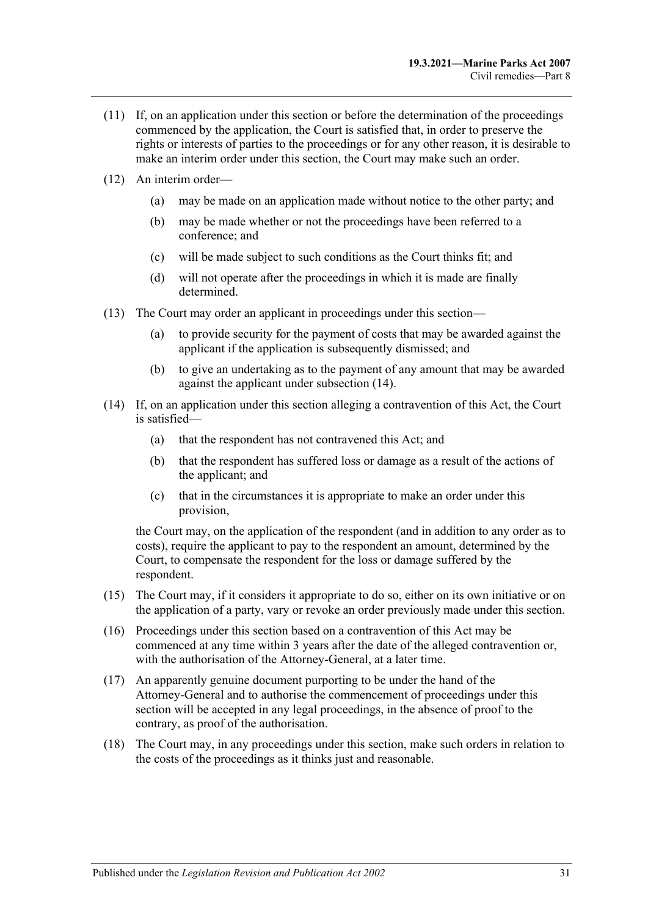- (11) If, on an application under this section or before the determination of the proceedings commenced by the application, the Court is satisfied that, in order to preserve the rights or interests of parties to the proceedings or for any other reason, it is desirable to make an interim order under this section, the Court may make such an order.
- (12) An interim order—
	- (a) may be made on an application made without notice to the other party; and
	- (b) may be made whether or not the proceedings have been referred to a conference; and
	- (c) will be made subject to such conditions as the Court thinks fit; and
	- (d) will not operate after the proceedings in which it is made are finally determined.
- (13) The Court may order an applicant in proceedings under this section—
	- (a) to provide security for the payment of costs that may be awarded against the applicant if the application is subsequently dismissed; and
	- (b) to give an undertaking as to the payment of any amount that may be awarded against the applicant under [subsection](#page-30-0) (14).
- <span id="page-30-0"></span>(14) If, on an application under this section alleging a contravention of this Act, the Court is satisfied—
	- (a) that the respondent has not contravened this Act; and
	- (b) that the respondent has suffered loss or damage as a result of the actions of the applicant; and
	- (c) that in the circumstances it is appropriate to make an order under this provision,

the Court may, on the application of the respondent (and in addition to any order as to costs), require the applicant to pay to the respondent an amount, determined by the Court, to compensate the respondent for the loss or damage suffered by the respondent.

- (15) The Court may, if it considers it appropriate to do so, either on its own initiative or on the application of a party, vary or revoke an order previously made under this section.
- (16) Proceedings under this section based on a contravention of this Act may be commenced at any time within 3 years after the date of the alleged contravention or, with the authorisation of the Attorney-General, at a later time.
- (17) An apparently genuine document purporting to be under the hand of the Attorney-General and to authorise the commencement of proceedings under this section will be accepted in any legal proceedings, in the absence of proof to the contrary, as proof of the authorisation.
- <span id="page-30-1"></span>(18) The Court may, in any proceedings under this section, make such orders in relation to the costs of the proceedings as it thinks just and reasonable.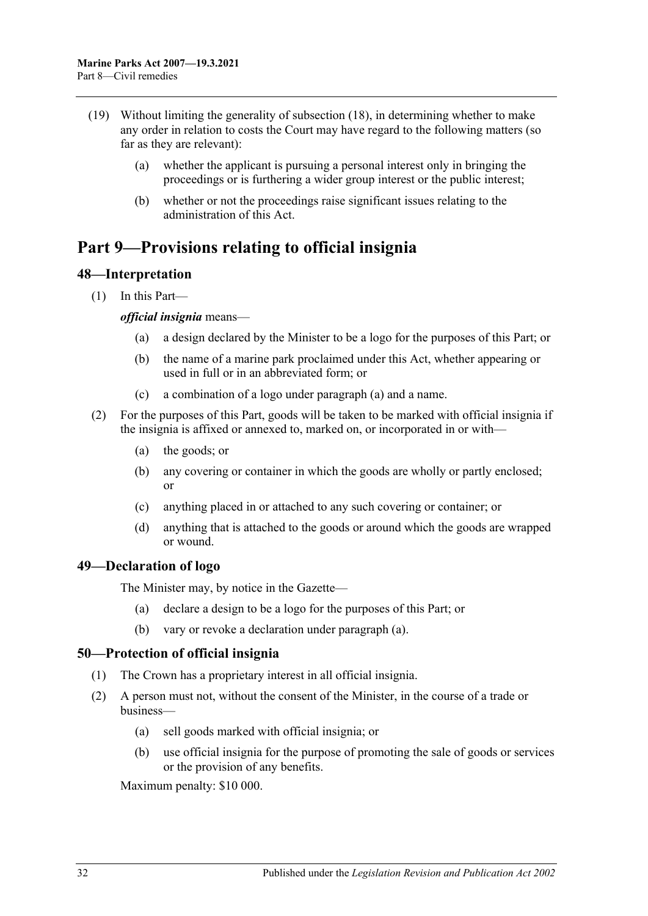- (19) Without limiting the generality of [subsection](#page-30-1) (18), in determining whether to make any order in relation to costs the Court may have regard to the following matters (so far as they are relevant):
	- (a) whether the applicant is pursuing a personal interest only in bringing the proceedings or is furthering a wider group interest or the public interest;
	- (b) whether or not the proceedings raise significant issues relating to the administration of this Act.

# <span id="page-31-0"></span>**Part 9—Provisions relating to official insignia**

# <span id="page-31-1"></span>**48—Interpretation**

<span id="page-31-4"></span>(1) In this Part—

# *official insignia* means—

- (a) a design declared by the Minister to be a logo for the purposes of this Part; or
- (b) the name of a marine park proclaimed under this Act, whether appearing or used in full or in an abbreviated form; or
- (c) a combination of a logo under [paragraph](#page-31-4) (a) and a name.
- (2) For the purposes of this Part, goods will be taken to be marked with official insignia if the insignia is affixed or annexed to, marked on, or incorporated in or with—
	- (a) the goods; or
	- (b) any covering or container in which the goods are wholly or partly enclosed; or
	- (c) anything placed in or attached to any such covering or container; or
	- (d) anything that is attached to the goods or around which the goods are wrapped or wound.

# <span id="page-31-5"></span><span id="page-31-2"></span>**49—Declaration of logo**

The Minister may, by notice in the Gazette—

- (a) declare a design to be a logo for the purposes of this Part; or
- (b) vary or revoke a declaration under [paragraph](#page-31-5) (a).

# <span id="page-31-3"></span>**50—Protection of official insignia**

- (1) The Crown has a proprietary interest in all official insignia.
- <span id="page-31-6"></span>(2) A person must not, without the consent of the Minister, in the course of a trade or business—
	- (a) sell goods marked with official insignia; or
	- (b) use official insignia for the purpose of promoting the sale of goods or services or the provision of any benefits.

Maximum penalty: \$10 000.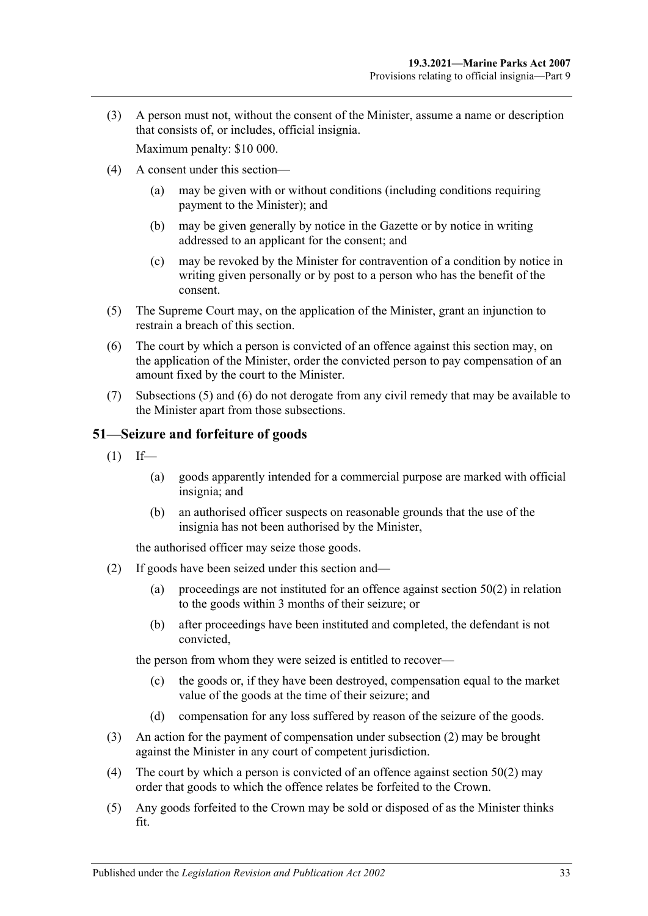(3) A person must not, without the consent of the Minister, assume a name or description that consists of, or includes, official insignia.

Maximum penalty: \$10 000.

- (4) A consent under this section—
	- (a) may be given with or without conditions (including conditions requiring payment to the Minister); and
	- (b) may be given generally by notice in the Gazette or by notice in writing addressed to an applicant for the consent; and
	- (c) may be revoked by the Minister for contravention of a condition by notice in writing given personally or by post to a person who has the benefit of the consent.
- <span id="page-32-1"></span>(5) The Supreme Court may, on the application of the Minister, grant an injunction to restrain a breach of this section.
- <span id="page-32-2"></span>(6) The court by which a person is convicted of an offence against this section may, on the application of the Minister, order the convicted person to pay compensation of an amount fixed by the court to the Minister.
- (7) [Subsections](#page-32-1) (5) and [\(6\)](#page-32-2) do not derogate from any civil remedy that may be available to the Minister apart from those subsections.

# <span id="page-32-0"></span>**51—Seizure and forfeiture of goods**

- $(1)$  If—
	- (a) goods apparently intended for a commercial purpose are marked with official insignia; and
	- (b) an authorised officer suspects on reasonable grounds that the use of the insignia has not been authorised by the Minister,

the authorised officer may seize those goods.

- <span id="page-32-3"></span>(2) If goods have been seized under this section and
	- (a) proceedings are not instituted for an offence against [section](#page-31-6)  $50(2)$  in relation to the goods within 3 months of their seizure; or
	- (b) after proceedings have been instituted and completed, the defendant is not convicted,

the person from whom they were seized is entitled to recover—

- (c) the goods or, if they have been destroyed, compensation equal to the market value of the goods at the time of their seizure; and
- (d) compensation for any loss suffered by reason of the seizure of the goods.
- (3) An action for the payment of compensation under [subsection](#page-32-3) (2) may be brought against the Minister in any court of competent jurisdiction.
- (4) The court by which a person is convicted of an offence against [section](#page-31-6)  $50(2)$  may order that goods to which the offence relates be forfeited to the Crown.
- (5) Any goods forfeited to the Crown may be sold or disposed of as the Minister thinks fit.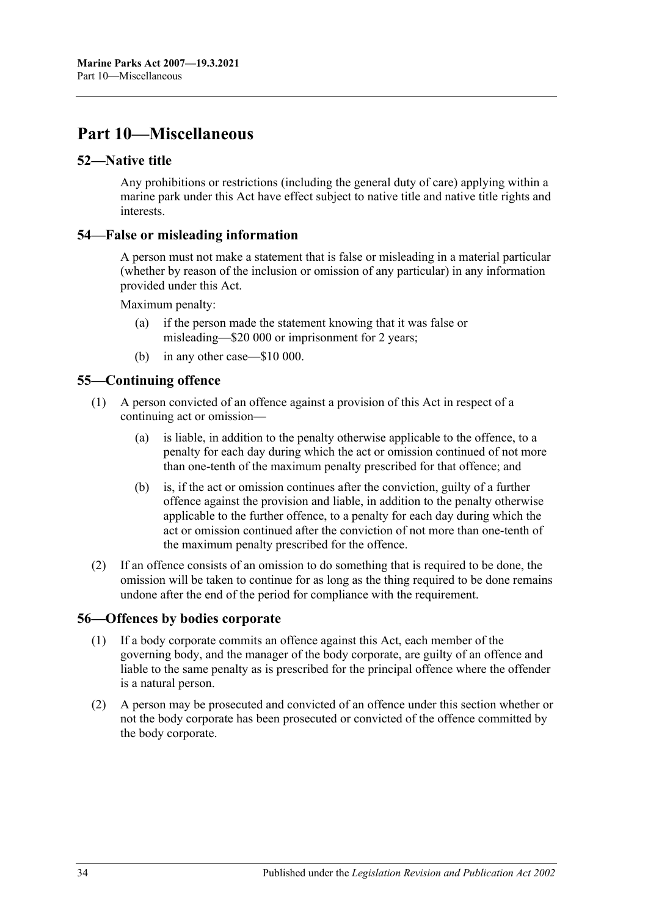# <span id="page-33-0"></span>**Part 10—Miscellaneous**

# <span id="page-33-1"></span>**52—Native title**

Any prohibitions or restrictions (including the general duty of care) applying within a marine park under this Act have effect subject to native title and native title rights and interests.

# <span id="page-33-2"></span>**54—False or misleading information**

A person must not make a statement that is false or misleading in a material particular (whether by reason of the inclusion or omission of any particular) in any information provided under this Act.

Maximum penalty:

- (a) if the person made the statement knowing that it was false or misleading—\$20 000 or imprisonment for 2 years;
- (b) in any other case—\$10 000.

# <span id="page-33-3"></span>**55—Continuing offence**

- (1) A person convicted of an offence against a provision of this Act in respect of a continuing act or omission—
	- (a) is liable, in addition to the penalty otherwise applicable to the offence, to a penalty for each day during which the act or omission continued of not more than one-tenth of the maximum penalty prescribed for that offence; and
	- (b) is, if the act or omission continues after the conviction, guilty of a further offence against the provision and liable, in addition to the penalty otherwise applicable to the further offence, to a penalty for each day during which the act or omission continued after the conviction of not more than one-tenth of the maximum penalty prescribed for the offence.
- (2) If an offence consists of an omission to do something that is required to be done, the omission will be taken to continue for as long as the thing required to be done remains undone after the end of the period for compliance with the requirement.

# <span id="page-33-4"></span>**56—Offences by bodies corporate**

- (1) If a body corporate commits an offence against this Act, each member of the governing body, and the manager of the body corporate, are guilty of an offence and liable to the same penalty as is prescribed for the principal offence where the offender is a natural person.
- (2) A person may be prosecuted and convicted of an offence under this section whether or not the body corporate has been prosecuted or convicted of the offence committed by the body corporate.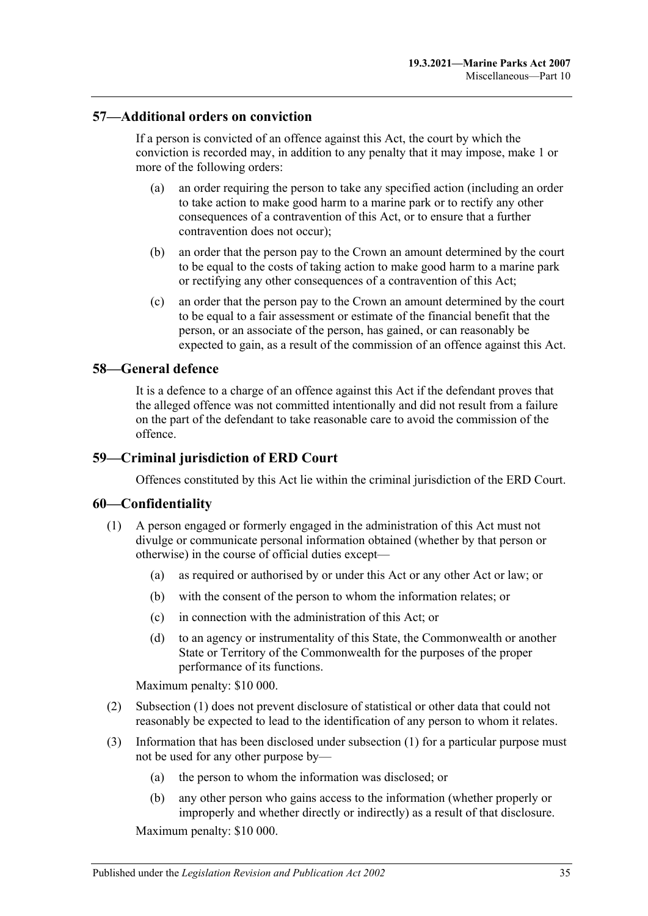#### <span id="page-34-0"></span>**57—Additional orders on conviction**

If a person is convicted of an offence against this Act, the court by which the conviction is recorded may, in addition to any penalty that it may impose, make 1 or more of the following orders:

- (a) an order requiring the person to take any specified action (including an order to take action to make good harm to a marine park or to rectify any other consequences of a contravention of this Act, or to ensure that a further contravention does not occur);
- (b) an order that the person pay to the Crown an amount determined by the court to be equal to the costs of taking action to make good harm to a marine park or rectifying any other consequences of a contravention of this Act;
- (c) an order that the person pay to the Crown an amount determined by the court to be equal to a fair assessment or estimate of the financial benefit that the person, or an associate of the person, has gained, or can reasonably be expected to gain, as a result of the commission of an offence against this Act.

# <span id="page-34-1"></span>**58—General defence**

It is a defence to a charge of an offence against this Act if the defendant proves that the alleged offence was not committed intentionally and did not result from a failure on the part of the defendant to take reasonable care to avoid the commission of the offence.

# <span id="page-34-2"></span>**59—Criminal jurisdiction of ERD Court**

Offences constituted by this Act lie within the criminal jurisdiction of the ERD Court.

#### <span id="page-34-4"></span><span id="page-34-3"></span>**60—Confidentiality**

- (1) A person engaged or formerly engaged in the administration of this Act must not divulge or communicate personal information obtained (whether by that person or otherwise) in the course of official duties except—
	- (a) as required or authorised by or under this Act or any other Act or law; or
	- (b) with the consent of the person to whom the information relates; or
	- (c) in connection with the administration of this Act; or
	- (d) to an agency or instrumentality of this State, the Commonwealth or another State or Territory of the Commonwealth for the purposes of the proper performance of its functions.

Maximum penalty: \$10 000.

- (2) [Subsection](#page-34-4) (1) does not prevent disclosure of statistical or other data that could not reasonably be expected to lead to the identification of any person to whom it relates.
- (3) Information that has been disclosed under [subsection](#page-34-4) (1) for a particular purpose must not be used for any other purpose by—
	- (a) the person to whom the information was disclosed; or
	- (b) any other person who gains access to the information (whether properly or improperly and whether directly or indirectly) as a result of that disclosure.

Maximum penalty: \$10 000.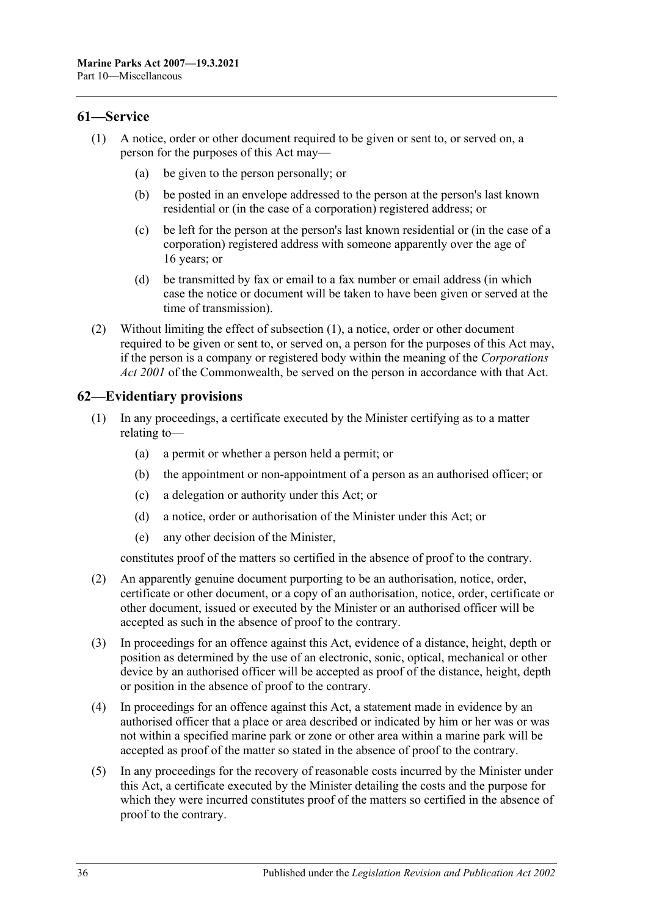# <span id="page-35-2"></span><span id="page-35-0"></span>**61—Service**

- (1) A notice, order or other document required to be given or sent to, or served on, a person for the purposes of this Act may—
	- (a) be given to the person personally; or
	- (b) be posted in an envelope addressed to the person at the person's last known residential or (in the case of a corporation) registered address; or
	- (c) be left for the person at the person's last known residential or (in the case of a corporation) registered address with someone apparently over the age of 16 years; or
	- (d) be transmitted by fax or email to a fax number or email address (in which case the notice or document will be taken to have been given or served at the time of transmission).
- (2) Without limiting the effect of [subsection](#page-35-2) (1), a notice, order or other document required to be given or sent to, or served on, a person for the purposes of this Act may, if the person is a company or registered body within the meaning of the *Corporations Act 2001* of the Commonwealth, be served on the person in accordance with that Act.

# <span id="page-35-1"></span>**62—Evidentiary provisions**

- (1) In any proceedings, a certificate executed by the Minister certifying as to a matter relating to—
	- (a) a permit or whether a person held a permit; or
	- (b) the appointment or non-appointment of a person as an authorised officer; or
	- (c) a delegation or authority under this Act; or
	- (d) a notice, order or authorisation of the Minister under this Act; or
	- (e) any other decision of the Minister,

constitutes proof of the matters so certified in the absence of proof to the contrary.

- (2) An apparently genuine document purporting to be an authorisation, notice, order, certificate or other document, or a copy of an authorisation, notice, order, certificate or other document, issued or executed by the Minister or an authorised officer will be accepted as such in the absence of proof to the contrary.
- (3) In proceedings for an offence against this Act, evidence of a distance, height, depth or position as determined by the use of an electronic, sonic, optical, mechanical or other device by an authorised officer will be accepted as proof of the distance, height, depth or position in the absence of proof to the contrary.
- (4) In proceedings for an offence against this Act, a statement made in evidence by an authorised officer that a place or area described or indicated by him or her was or was not within a specified marine park or zone or other area within a marine park will be accepted as proof of the matter so stated in the absence of proof to the contrary.
- (5) In any proceedings for the recovery of reasonable costs incurred by the Minister under this Act, a certificate executed by the Minister detailing the costs and the purpose for which they were incurred constitutes proof of the matters so certified in the absence of proof to the contrary.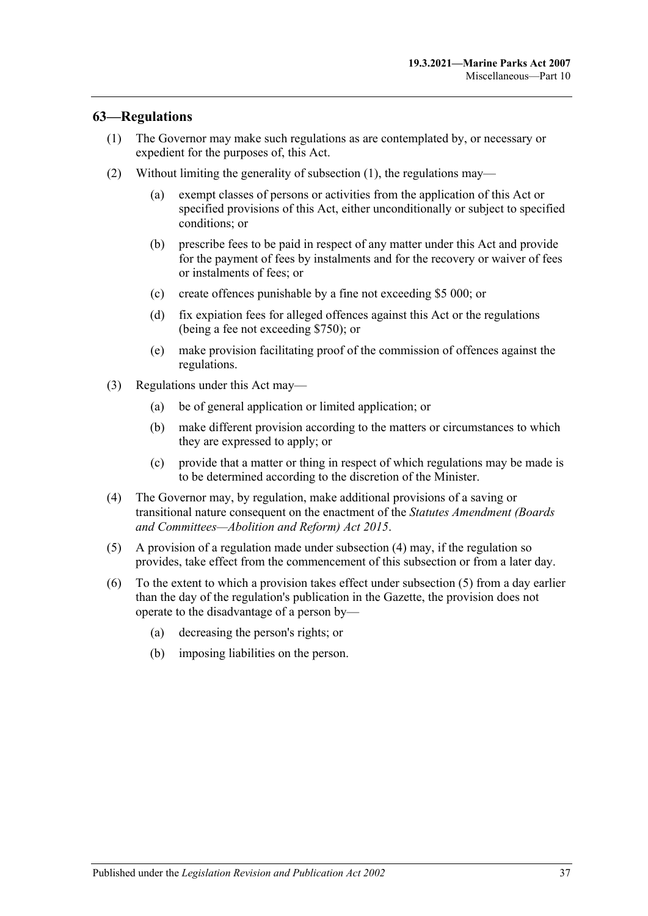### <span id="page-36-1"></span><span id="page-36-0"></span>**63—Regulations**

- (1) The Governor may make such regulations as are contemplated by, or necessary or expedient for the purposes of, this Act.
- (2) Without limiting the generality of [subsection](#page-36-1) (1), the regulations may—
	- (a) exempt classes of persons or activities from the application of this Act or specified provisions of this Act, either unconditionally or subject to specified conditions; or
	- (b) prescribe fees to be paid in respect of any matter under this Act and provide for the payment of fees by instalments and for the recovery or waiver of fees or instalments of fees; or
	- (c) create offences punishable by a fine not exceeding \$5 000; or
	- (d) fix expiation fees for alleged offences against this Act or the regulations (being a fee not exceeding \$750); or
	- (e) make provision facilitating proof of the commission of offences against the regulations.
- (3) Regulations under this Act may—
	- (a) be of general application or limited application; or
	- (b) make different provision according to the matters or circumstances to which they are expressed to apply; or
	- (c) provide that a matter or thing in respect of which regulations may be made is to be determined according to the discretion of the Minister.
- <span id="page-36-2"></span>(4) The Governor may, by regulation, make additional provisions of a saving or transitional nature consequent on the enactment of the *[Statutes Amendment \(Boards](http://www.legislation.sa.gov.au/index.aspx?action=legref&type=act&legtitle=Statutes%20Amendment%20(Boards%20and%20Committees%E2%80%94Abolition%20and%20Reform)%20Act%202015)  [and Committees—Abolition and Reform\) Act](http://www.legislation.sa.gov.au/index.aspx?action=legref&type=act&legtitle=Statutes%20Amendment%20(Boards%20and%20Committees%E2%80%94Abolition%20and%20Reform)%20Act%202015) 2015*.
- <span id="page-36-3"></span>(5) A provision of a regulation made under [subsection](#page-36-2) (4) may, if the regulation so provides, take effect from the commencement of this subsection or from a later day.
- (6) To the extent to which a provision takes effect under [subsection](#page-36-3) (5) from a day earlier than the day of the regulation's publication in the Gazette, the provision does not operate to the disadvantage of a person by—
	- (a) decreasing the person's rights; or
	- (b) imposing liabilities on the person.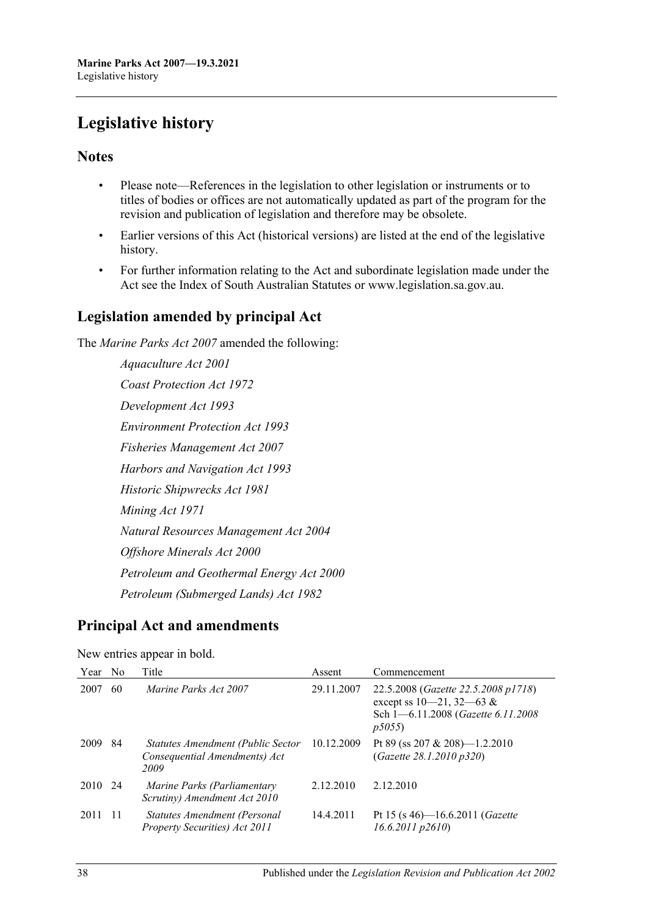# <span id="page-37-0"></span>**Legislative history**

# **Notes**

- Please note—References in the legislation to other legislation or instruments or to titles of bodies or offices are not automatically updated as part of the program for the revision and publication of legislation and therefore may be obsolete.
- Earlier versions of this Act (historical versions) are listed at the end of the legislative history.
- For further information relating to the Act and subordinate legislation made under the Act see the Index of South Australian Statutes or www.legislation.sa.gov.au.

# **Legislation amended by principal Act**

The *Marine Parks Act 2007* amended the following:

*Aquaculture Act 2001 Coast Protection Act 1972 Development Act 1993 Environment Protection Act 1993 Fisheries Management Act 2007 Harbors and Navigation Act 1993 Historic Shipwrecks Act 1981 Mining Act 1971 Natural Resources Management Act 2004 Offshore Minerals Act 2000 Petroleum and Geothermal Energy Act 2000 Petroleum (Submerged Lands) Act 1982*

# **Principal Act and amendments**

# New entries appear in bold.

| Year | N <sub>0</sub> | Title                                                                      | Assent     | Commencement                                                                                                         |
|------|----------------|----------------------------------------------------------------------------|------------|----------------------------------------------------------------------------------------------------------------------|
| 2007 | 60             | Marine Parks Act 2007                                                      | 29.11.2007 | 22.5.2008 (Gazette 22.5.2008 p1718)<br>except ss $10-21$ , $32-63$ &<br>Sch 1-6.11.2008 (Gazette 6.11.2008)<br>p5055 |
| 2009 | 84             | Statutes Amendment (Public Sector<br>Consequential Amendments) Act<br>2009 | 10.12.2009 | Pt 89 (ss 207 & 208)—1.2.2010<br>(Gazette 28.1.2010 p320)                                                            |
| 2010 | -24            | Marine Parks (Parliamentary<br>Scrutiny) Amendment Act 2010                | 2.12.2010  | 2.12.2010                                                                                                            |
| 2011 | -11            | Statutes Amendment (Personal<br>Property Securities) Act 2011              | 14.4.2011  | Pt 15 (s 46)—16.6.2011 ( <i>Gazette</i><br>$16.6.2011$ $p2610$                                                       |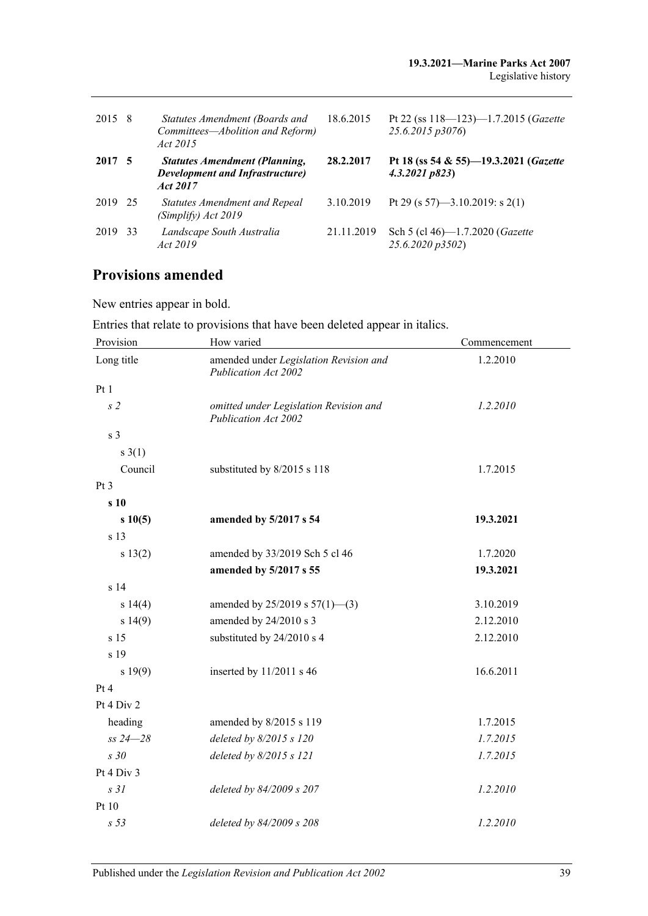| 2015 8  |    | Statutes Amendment (Boards and<br>Committees-Abolition and Reform)<br>Act 2015              | 18.6.2015  | Pt 22 (ss $118 - 123 - 1.7.2015$ (Gazette<br>25.6.2015 p3076) |
|---------|----|---------------------------------------------------------------------------------------------|------------|---------------------------------------------------------------|
| 2017 5  |    | <b>Statutes Amendment (Planning,</b><br><b>Development and Infrastructure</b> )<br>Act 2017 | 28.2.2017  | Pt 18 (ss 54 & 55)-19.3.2021 (Gazette<br>4.3.2021 p823        |
| 2019 25 |    | <b>Statutes Amendment and Repeal</b><br>(Simplify) Act 2019                                 | 3.10.2019  | Pt 29 (s 57)—3.10.2019: s 2(1)                                |
| 2019    | 33 | Landscape South Australia<br>Act 2019                                                       | 21.11.2019 | Sch 5 (cl 46)-1.7.2020 (Gazette<br>25.6.2020 p3502)           |

# **Provisions amended**

New entries appear in bold.

Entries that relate to provisions that have been deleted appear in italics.

| Provision       | How varied                                                     | Commencement |  |
|-----------------|----------------------------------------------------------------|--------------|--|
| Long title      | amended under Legislation Revision and<br>Publication Act 2002 | 1.2.2010     |  |
| Pt 1            |                                                                |              |  |
| s <sub>2</sub>  | omitted under Legislation Revision and<br>Publication Act 2002 | 1.2.2010     |  |
| s <sub>3</sub>  |                                                                |              |  |
| $s \; 3(1)$     |                                                                |              |  |
| Council         | substituted by 8/2015 s 118                                    | 1.7.2015     |  |
| Pt <sub>3</sub> |                                                                |              |  |
| s 10            |                                                                |              |  |
| s10(5)          | amended by 5/2017 s 54                                         | 19.3.2021    |  |
| s 13            |                                                                |              |  |
| s 13(2)         | amended by 33/2019 Sch 5 cl 46                                 | 1.7.2020     |  |
|                 | amended by 5/2017 s 55                                         | 19.3.2021    |  |
| s 14            |                                                                |              |  |
| s 14(4)         | amended by $25/2019$ s $57(1)$ —(3)                            | 3.10.2019    |  |
| s 14(9)         | amended by 24/2010 s 3                                         | 2.12.2010    |  |
| s <sub>15</sub> | substituted by 24/2010 s 4                                     | 2.12.2010    |  |
| s 19            |                                                                |              |  |
| s 19(9)         | inserted by $11/2011$ s 46                                     | 16.6.2011    |  |
| Pt 4            |                                                                |              |  |
| Pt 4 Div 2      |                                                                |              |  |
| heading         | amended by 8/2015 s 119                                        | 1.7.2015     |  |
| $ss\,24 - 28$   | deleted by 8/2015 s 120                                        | 1.7.2015     |  |
| s30             | deleted by 8/2015 s 121                                        | 1.7.2015     |  |
| Pt 4 Div 3      |                                                                |              |  |
| s <sub>31</sub> | deleted by 84/2009 s 207                                       | 1.2.2010     |  |
| Pt 10           |                                                                |              |  |
| s <sub>53</sub> | deleted by 84/2009 s 208                                       | 1.2.2010     |  |